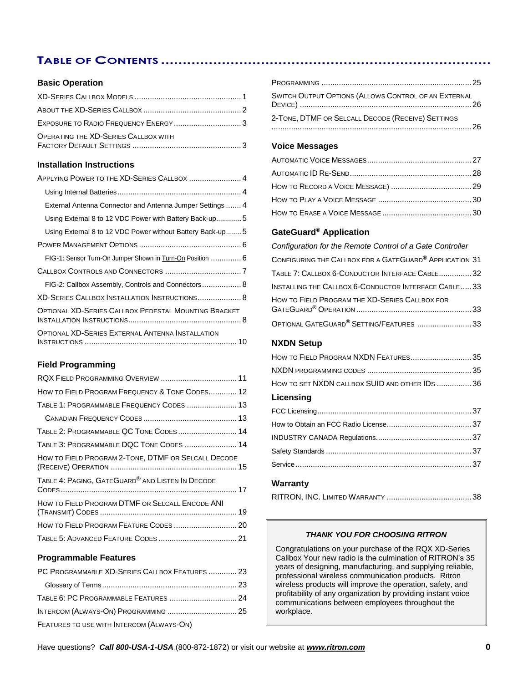# **TABLE OF CONTENTS ............................................................................**

### **Basic Operation**

| <b>OPERATING THE XD-SERIES CALLBOX WITH</b> |  |
|---------------------------------------------|--|

### **Installation Instructions**

| APPLYING POWER TO THE XD-SERIES CALLBOX  4                |
|-----------------------------------------------------------|
|                                                           |
| External Antenna Connector and Antenna Jumper Settings  4 |
| Using External 8 to 12 VDC Power with Battery Back-up5    |
| Using External 8 to 12 VDC Power without Battery Back-up5 |
|                                                           |
| FIG-1: Sensor Turn-On Jumper Shown in Turn-On Position  6 |
|                                                           |
| FIG-2: Callbox Assembly, Controls and Connectors 8        |
| XD-SERIES CALLBOX INSTALLATION INSTRUCTIONS 8             |
| OPTIONAL XD-SERIES CALLBOX PEDESTAL MOUNTING BRACKET      |
| OPTIONAL XD-SERIES EXTERNAL ANTENNA INSTALLATION          |

### **Field Programming**

| HOW TO FIELD PROGRAM FREQUENCY & TONE CODES 12               |  |
|--------------------------------------------------------------|--|
| TABLE 1: PROGRAMMABLE FREQUENCY CODES  13                    |  |
|                                                              |  |
| TABLE 2: PROGRAMMABLE QC TONE CODES 14                       |  |
| TABLE 3: PROGRAMMABLE DQC TONE CODES  14                     |  |
| HOW TO FIELD PROGRAM 2-TONE, DTMF OR SELCALL DECODE          |  |
| TABLE 4: PAGING, GATEGUARD <sup>®</sup> AND LISTEN IN DECODE |  |
| HOW TO FIELD PROGRAM DTMF OR SELCALL ENCODE ANI              |  |
|                                                              |  |
|                                                              |  |

### **Programmable Features**

| PC PROGRAMMABLE XD-SERIES CALLBOX FEATURES  23 |  |
|------------------------------------------------|--|
|                                                |  |
|                                                |  |
| INTERCOM (ALWAYS-ON) PROGRAMMING  25           |  |
| FEATURES TO USE WITH INTERCOM (ALWAYS-ON)      |  |

| SWITCH OUTPUT OPTIONS (ALLOWS CONTROL OF AN EXTERNAL |
|------------------------------------------------------|
| 2-TONE, DTMF OR SELCALL DECODE (RECEIVE) SETTINGS    |

### **Voice Messages**

### **GateGuard® Application**

| Configuration for the Remote Control of a Gate Controller           |  |
|---------------------------------------------------------------------|--|
| CONFIGURING THE CALLBOX FOR A GATEGUARD <sup>®</sup> APPLICATION 31 |  |
| TABLE 7: CALLBOX 6-CONDUCTOR INTERFACE CABLE 32                     |  |
| INSTALLING THE CALLBOX 6-CONDUCTOR INTERFACE CABLE 33               |  |
| HOW TO FIELD PROGRAM THE XD-SERIES CALLBOX FOR                      |  |
| OPTIONAL GATEGUARD <sup>®</sup> SETTING/FEATURES 33                 |  |

### **NXDN Setup**

| HOW TO FIELD PROGRAM NXDN FEATURES 35          |  |
|------------------------------------------------|--|
|                                                |  |
| HOW TO SET NXDN CALLBOX SUID AND OTHER IDS  36 |  |
| Licensing                                      |  |
|                                                |  |
|                                                |  |
|                                                |  |
|                                                |  |
|                                                |  |
|                                                |  |

### **Warranty**

|--|--|

### *THANK YOU FOR CHOOSING RITRON*

Congratulations on your purchase of the RQX XD-Series Callbox Your new radio is the culmination of RITRON's 35 years of designing, manufacturing, and supplying reliable, professional wireless communication products. Ritron wireless products will improve the operation, safety, and profitability of any organization by providing instant voice communications between employees throughout the workplace.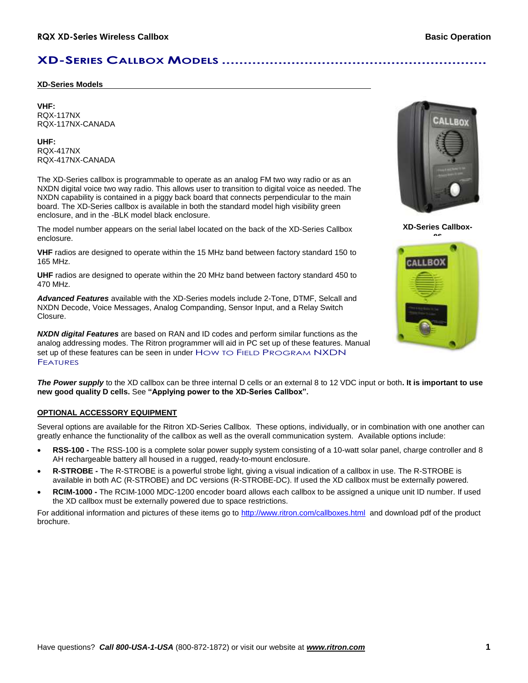# **XD-SERIES CALLBOX MODELS .............................................................**

### **XD-Series Models**

### **VHF:** RQX-117NX RQX-117NX-CANADA

### **UHF:** RQX-417NX RQX-417NX-CANADA

The XD-Series callbox is programmable to operate as an analog FM two way radio or as an NXDN digital voice two way radio. This allows user to transition to digital voice as needed. The NXDN capability is contained in a piggy back board that connects perpendicular to the main board. The XD-Series callbox is available in both the standard model high visibility green enclosure, and in the -BLK model black enclosure.

The model number appears on the serial label located on the back of the XD-Series Callbox enclosure.

**VHF** radios are designed to operate within the 15 MHz band between factory standard 150 to 165 MHz.

**UHF** radios are designed to operate within the 20 MHz band between factory standard 450 to 470 MHz.

*Advanced Features* available with the XD-Series models include 2-Tone, DTMF, Selcall and NXDN Decode, Voice Messages, Analog Companding, Sensor Input, and a Relay Switch Closure.

*NXDN digital Features* are based on RAN and ID codes and perform similar functions as the analog addressing modes. The Ritron programmer will aid in PC set up of these features. Manual set up of these features can be seen in under HOW TO FIELD PROGRAM NXDN FEATURES



**XD-Series Callbox-**



*The Power supply* to the XD callbox can be three internal D cells or an external 8 to 12 VDC input or both**. It is important to use new good quality D cells.** See **"Applying power to the XD-Series Callbox".**

### **OPTIONAL ACCESSORY EQUIPMENT**

Several options are available for the Ritron XD-Series Callbox. These options, individually, or in combination with one another can greatly enhance the functionality of the callbox as well as the overall communication system. Available options include:

- **RSS-100 -** The RSS-100 is a complete solar power supply system consisting of a 10-watt solar panel, charge controller and 8 AH rechargeable battery all housed in a rugged, ready-to-mount enclosure.
- **R-STROBE -** The R-STROBE is a powerful strobe light, giving a visual indication of a callbox in use. The R-STROBE is available in both AC (R-STROBE) and DC versions (R-STROBE-DC). If used the XD callbox must be externally powered.
- **RCIM-1000 -** The RCIM-1000 MDC-1200 encoder board allows each callbox to be assigned a unique unit ID number. If used the XD callbox must be externally powered due to space restrictions.

For additional information and pictures of these items go to<http://www.ritron.com/callboxes.html>and download pdf of the product brochure.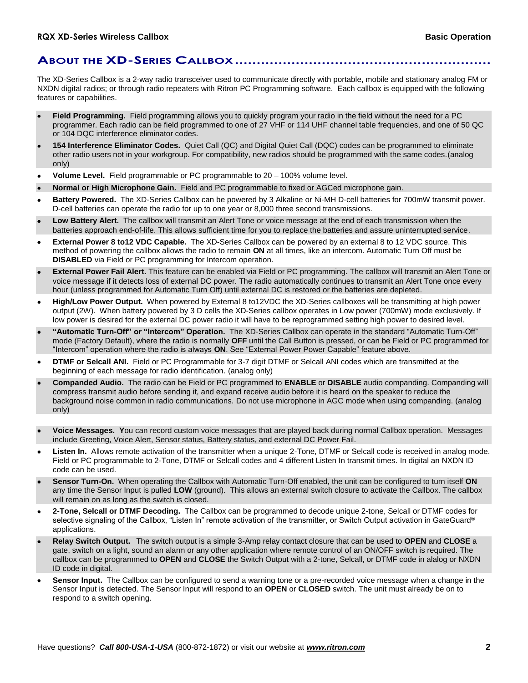### **ABOUT THE XD-SERIES CALLBOX...........................................................**

The XD-Series Callbox is a 2-way radio transceiver used to communicate directly with portable, mobile and stationary analog FM or NXDN digital radios; or through radio repeaters with Ritron PC Programming software. Each callbox is equipped with the following features or capabilities.

- **Field Programming.** Field programming allows you to quickly program your radio in the field without the need for a PC programmer. Each radio can be field programmed to one of 27 VHF or 114 UHF channel table frequencies, and one of 50 QC or 104 DQC interference eliminator codes.
- **154 Interference Eliminator Codes.** Quiet Call (QC) and Digital Quiet Call (DQC) codes can be programmed to eliminate other radio users not in your workgroup. For compatibility, new radios should be programmed with the same codes.(analog only)
- **Volume Level.** Field programmable or PC programmable to 20 100% volume level.
- **Normal or High Microphone Gain.** Field and PC programmable to fixed or AGCed microphone gain.
- **Battery Powered.** The XD-Series Callbox can be powered by 3 Alkaline or Ni-MH D-cell batteries for 700mW transmit power. D-cell batteries can operate the radio for up to one year or 8,000 three second transmissions.
- **Low Battery Alert.** The callbox will transmit an Alert Tone or voice message at the end of each transmission when the batteries approach end-of-life. This allows sufficient time for you to replace the batteries and assure uninterrupted service.
- **External Power 8 to12 VDC Capable.** The XD-Series Callbox can be powered by an external 8 to 12 VDC source. This method of powering the callbox allows the radio to remain **ON** at all times, like an intercom. Automatic Turn Off must be **DISABLED** via Field or PC programming for Intercom operation.
- **External Power Fail Alert.** This feature can be enabled via Field or PC programming. The callbox will transmit an Alert Tone or voice message if it detects loss of external DC power. The radio automatically continues to transmit an Alert Tone once every hour (unless programmed for Automatic Turn Off) until external DC is restored or the batteries are depleted.
- **High/Low Power Output.** When powered by External 8 to12VDC the XD-Series callboxes will be transmitting at high power output (2W). When battery powered by 3 D cells the XD-Series callbox operates in Low power (700mW) mode exclusively. If low power is desired for the external DC power radio it will have to be reprogrammed setting high power to desired level.
- **"Automatic Turn-Off" or "Intercom" Operation.** The XD-Series Callbox can operate in the standard "Automatic Turn-Off" mode (Factory Default), where the radio is normally **OFF** until the Call Button is pressed, or can be Field or PC programmed for "Intercom" operation where the radio is always **ON**. See "External Power Power Capable" feature above.
- **DTMF or Selcall ANI.** Field or PC Programmable for 3-7 digit DTMF or Selcall ANI codes which are transmitted at the beginning of each message for radio identification. (analog only)
- **Companded Audio.** The radio can be Field or PC programmed to **ENABLE** or **DISABLE** audio companding. Companding will compress transmit audio before sending it, and expand receive audio before it is heard on the speaker to reduce the background noise common in radio communications. Do not use microphone in AGC mode when using companding. (analog only)
- **Voice Messages. Y**ou can record custom voice messages that are played back during normal Callbox operation. Messages include Greeting, Voice Alert, Sensor status, Battery status, and external DC Power Fail.
- **Listen In.** Allows remote activation of the transmitter when a unique 2-Tone, DTMF or Selcall code is received in analog mode. Field or PC programmable to 2-Tone, DTMF or Selcall codes and 4 different Listen In transmit times. In digital an NXDN ID code can be used.
- **Sensor Turn-On.** When operating the Callbox with Automatic Turn-Off enabled, the unit can be configured to turn itself **ON** any time the Sensor Input is pulled **LOW** (ground). This allows an external switch closure to activate the Callbox. The callbox will remain on as long as the switch is closed.
- **2-Tone, Selcall or DTMF Decoding.** The Callbox can be programmed to decode unique 2-tone, Selcall or DTMF codes for selective signaling of the Callbox, "Listen In" remote activation of the transmitter, or Switch Output activation in GateGuard**®** applications.
- **Relay Switch Output.** The switch output is a simple 3-Amp relay contact closure that can be used to **OPEN** and **CLOSE** a gate, switch on a light, sound an alarm or any other application where remote control of an ON/OFF switch is required. The callbox can be programmed to **OPEN** and **CLOSE** the Switch Output with a 2-tone, Selcall, or DTMF code in alalog or NXDN ID code in digital.
- **Sensor Input.** The Callbox can be configured to send a warning tone or a pre-recorded voice message when a change in the Sensor Input is detected. The Sensor Input will respond to an **OPEN** or **CLOSED** switch. The unit must already be on to respond to a switch opening.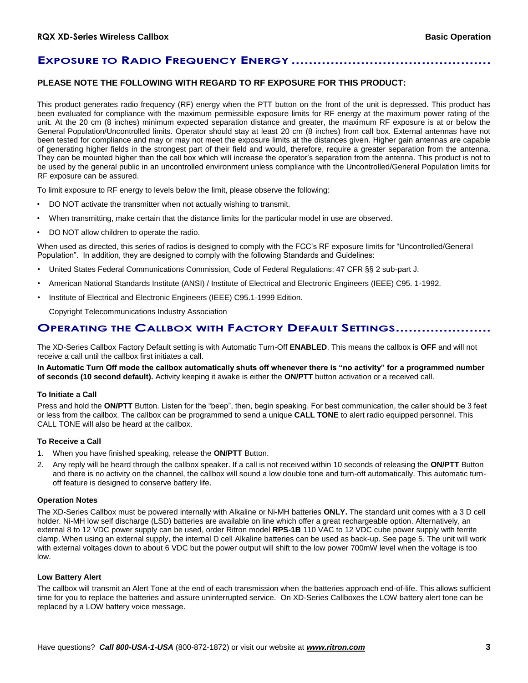# **EXPOSURE TO RADIO FREQUENCY ENERGY ..........**

### **PLEASE NOTE THE FOLLOWING WITH REGARD TO RF EXPOSURE FOR THIS PRODUCT:**

This product generates radio frequency (RF) energy when the PTT button on the front of the unit is depressed. This product has been evaluated for compliance with the maximum permissible exposure limits for RF energy at the maximum power rating of the unit. At the 20 cm (8 inches) minimum expected separation distance and greater, the maximum RF exposure is at or below the General Population/Uncontrolled limits. Operator should stay at least 20 cm (8 inches) from call box. External antennas have not been tested for compliance and may or may not meet the exposure limits at the distances given. Higher gain antennas are capable of generating higher fields in the strongest part of their field and would, therefore, require a greater separation from the antenna. They can be mounted higher than the call box which will increase the operator's separation from the antenna. This product is not to be used by the general public in an uncontrolled environment unless compliance with the Uncontrolled/General Population limits for RF exposure can be assured.

To limit exposure to RF energy to levels below the limit, please observe the following:

- DO NOT activate the transmitter when not actually wishing to transmit.
- When transmitting, make certain that the distance limits for the particular model in use are observed.
- DO NOT allow children to operate the radio.

When used as directed, this series of radios is designed to comply with the FCC's RF exposure limits for "Uncontrolled/General Population". In addition, they are designed to comply with the following Standards and Guidelines:

- United States Federal Communications Commission, Code of Federal Regulations; 47 CFR §§ 2 sub-part J.
- American National Standards Institute (ANSI) / Institute of Electrical and Electronic Engineers (IEEE) C95. 1-1992.
- Institute of Electrical and Electronic Engineers (IEEE) C95.1-1999 Edition.

Copyright Telecommunications Industry Association

### **OPERATING THE CALLBOX WITH FACTORY DEFAULT SETTINGS......................**

The XD-Series Callbox Factory Default setting is with Automatic Turn-Off **ENABLED**. This means the callbox is **OFF** and will not receive a call until the callbox first initiates a call.

**In Automatic Turn Off mode the callbox automatically shuts off whenever there is "no activity" for a programmed number of seconds (10 second default).** Activity keeping it awake is either the **ON/PTT** button activation or a received call.

#### **To Initiate a Call**

Press and hold the **ON/PTT** Button. Listen for the "beep", then, begin speaking. For best communication, the caller should be 3 feet or less from the callbox. The callbox can be programmed to send a unique **CALL TONE** to alert radio equipped personnel. This CALL TONE will also be heard at the callbox.

#### **To Receive a Call**

- 1. When you have finished speaking, release the **ON/PTT** Button.
- 2. Any reply will be heard through the callbox speaker. If a call is not received within 10 seconds of releasing the **ON/PTT** Button and there is no activity on the channel, the callbox will sound a low double tone and turn-off automatically. This automatic turnoff feature is designed to conserve battery life.

### **Operation Notes**

The XD-Series Callbox must be powered internally with Alkaline or Ni-MH batteries **ONLY.** The standard unit comes with a 3 D cell holder. Ni-MH low self discharge (LSD) batteries are available on line which offer a great rechargeable option. Alternatively, an external 8 to 12 VDC power supply can be used, order Ritron model **RPS-1B** 110 VAC to 12 VDC cube power supply with ferrite clamp. When using an external supply, the internal D cell Alkaline batteries can be used as back-up. See page 5. The unit will work with external voltages down to about 6 VDC but the power output will shift to the low power 700mW level when the voltage is too low.

#### **Low Battery Alert**

The callbox will transmit an Alert Tone at the end of each transmission when the batteries approach end-of-life. This allows sufficient time for you to replace the batteries and assure uninterrupted service. On XD-Series Callboxes the LOW battery alert tone can be replaced by a LOW battery voice message.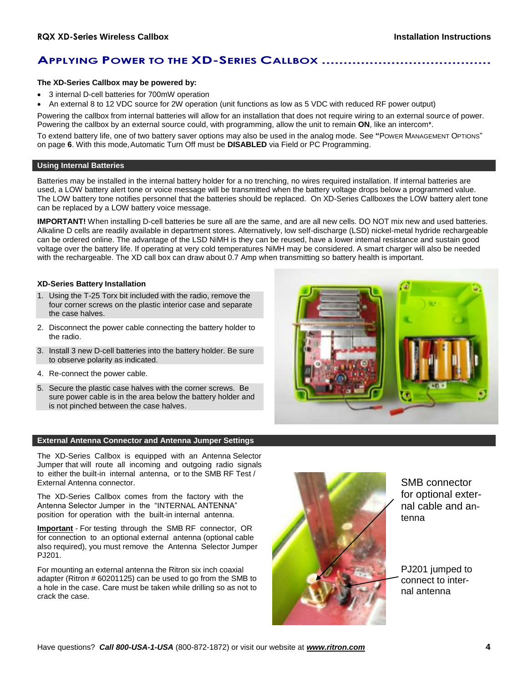# **APPLYING POWER TO THE XD-SERIES CALLBOX .......................................**

### **The XD-Series Callbox may be powered by:**

- 3 internal D-cell batteries for 700mW operation
- An external 8 to 12 VDC source for 2W operation (unit functions as low as 5 VDC with reduced RF power output)

Powering the callbox from internal batteries will allow for an installation that does not require wiring to an external source of power. Powering the callbox by an external source could, with programming, allow the unit to remain **ON**, like an intercom\*.

To extend battery life, one of two battery saver options may also be used in the analog mode. See **"**POWER MANAGEMENT OPTIONS" on page **6**. With this mode,Automatic Turn Off must be **DISABLED** via Field or PC Programming.

### **Using Internal Batteries**

Batteries may be installed in the internal battery holder for a no trenching, no wires required installation. If internal batteries are used, a LOW battery alert tone or voice message will be transmitted when the battery voltage drops below a programmed value. The LOW battery tone notifies personnel that the batteries should be replaced. On XD-Series Callboxes the LOW battery alert tone can be replaced by a LOW battery voice message.

**IMPORTANT!** When installing D-cell batteries be sure all are the same, and are all new cells. DO NOT mix new and used batteries. Alkaline D cells are readily available in department stores. Alternatively, low self-discharge (LSD) nickel-metal hydride rechargeable can be ordered online. The advantage of the LSD NiMH is they can be reused, have a lower internal resistance and sustain good voltage over the battery life. If operating at very cold temperatures NiMH may be considered. A smart charger will also be needed with the rechargeable. The XD call box can draw about 0.7 Amp when transmitting so battery health is important.

#### **XD-Series Battery Installation**

- 1. Using the T-25 Torx bit included with the radio, remove the four corner screws on the plastic interior case and separate the case halves.
- 2. Disconnect the power cable connecting the battery holder to the radio.
- 3. Install 3 new D-cell batteries into the battery holder. Be sure to observe polarity as indicated.
- 4. Re-connect the power cable.
- 5. Secure the plastic case halves with the corner screws. Be sure power cable is in the area below the battery holder and is not pinched between the case halves.

#### **External Antenna Connector and Antenna Jumper Settings**

The XD-Series Callbox is equipped with an Antenna Selector Jumper that will route all incoming and outgoing radio signals to either the built-in internal antenna, or to the SMB RF Test / External Antenna connector.

The XD-Series Callbox comes from the factory with the Antenna Selector Jumper in the "INTERNAL ANTENNA" position for operation with the built-in internal antenna.

**Important** - For testing through the SMB RF connector, OR for connection to an optional external antenna (optional cable also required), you must remove the Antenna Selector Jumper PJ201.

For mounting an external antenna the Ritron six inch coaxial adapter (Ritron # 60201125) can be used to go from the SMB to a hole in the case. Care must be taken while drilling so as not to crack the case.



SMB connector for optional external cable and antenna

PJ201 jumped to connect to internal antenna

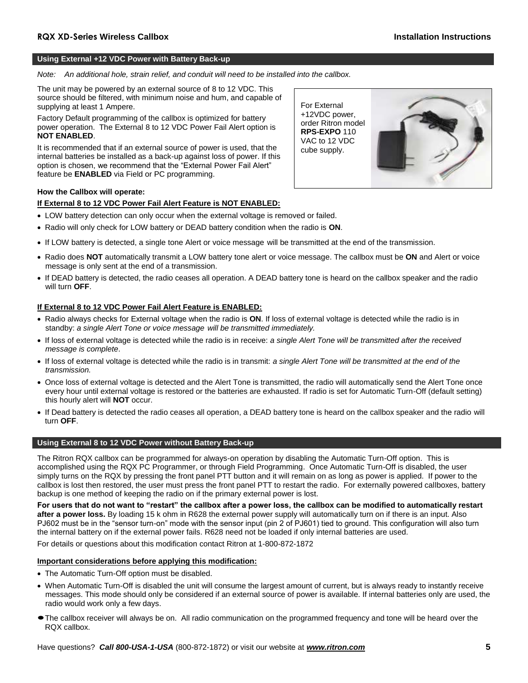### **Using External +12 VDC Power with Battery Back-up**

*Note: An additional hole, strain relief, and conduit will need to be installed into the callbox.*

The unit may be powered by an external source of 8 to 12 VDC. This source should be filtered, with minimum noise and hum, and capable of supplying at least 1 Ampere.

Factory Default programming of the callbox is optimized for battery power operation. The External 8 to 12 VDC Power Fail Alert option is **NOT ENABLED**.

It is recommended that if an external source of power is used, that the internal batteries be installed as a back-up against loss of power. If this option is chosen, we recommend that the "External Power Fail Alert" feature be **ENABLED** via Field or PC programming.



### **How the Callbox will operate:**

### **If External 8 to 12 VDC Power Fail Alert Feature is NOT ENABLED:**

- LOW battery detection can only occur when the external voltage is removed or failed.
- Radio will only check for LOW battery or DEAD battery condition when the radio is **ON**.
- If LOW battery is detected, a single tone Alert or voice message will be transmitted at the end of the transmission.
- Radio does **NOT** automatically transmit a LOW battery tone alert or voice message. The callbox must be **ON** and Alert or voice message is only sent at the end of a transmission.
- If DEAD battery is detected, the radio ceases all operation. A DEAD battery tone is heard on the callbox speaker and the radio will turn **OFF**.

#### **If External 8 to 12 VDC Power Fail Alert Feature is ENABLED:**

- Radio always checks for External voltage when the radio is **ON**. If loss of external voltage is detected while the radio is in standby: *a single Alert Tone or voice message will be transmitted immediately.*
- If loss of external voltage is detected while the radio is in receive: *a single Alert Tone will be transmitted after the received message is complete*.
- If loss of external voltage is detected while the radio is in transmit: *a single Alert Tone will be transmitted at the end of the transmission.*
- Once loss of external voltage is detected and the Alert Tone is transmitted, the radio will automatically send the Alert Tone once every hour until external voltage is restored or the batteries are exhausted. If radio is set for Automatic Turn-Off (default setting) this hourly alert will **NOT** occur.
- If Dead battery is detected the radio ceases all operation, a DEAD battery tone is heard on the callbox speaker and the radio will turn **OFF**.

### **Using External 8 to 12 VDC Power without Battery Back-up**

The Ritron RQX callbox can be programmed for always-on operation by disabling the Automatic Turn-Off option. This is accomplished using the RQX PC Programmer, or through Field Programming. Once Automatic Turn-Off is disabled, the user simply turns on the RQX by pressing the front panel PTT button and it will remain on as long as power is applied. If power to the callbox is lost then restored, the user must press the front panel PTT to restart the radio. For externally powered callboxes, battery backup is one method of keeping the radio on if the primary external power is lost.

**For users that do not want to "restart" the callbox after a power loss, the callbox can be modified to automatically restart after a power loss.** By loading 15 k ohm in R628 the external power supply will automatically turn on if there is an input. Also PJ602 must be in the "sensor turn-on" mode with the sensor input (pin 2 of PJ601) tied to ground. This configuration will also turn the internal battery on if the external power fails. R628 need not be loaded if only internal batteries are used.

For details or questions about this modification contact Ritron at 1-800-872-1872

### **Important considerations before applying this modification:**

- The Automatic Turn-Off option must be disabled.
- When Automatic Turn-Off is disabled the unit will consume the largest amount of current, but is always ready to instantly receive messages. This mode should only be considered if an external source of power is available. If internal batteries only are used, the radio would work only a few days.
- The callbox receiver will always be on. All radio communication on the programmed frequency and tone will be heard over the RQX callbox.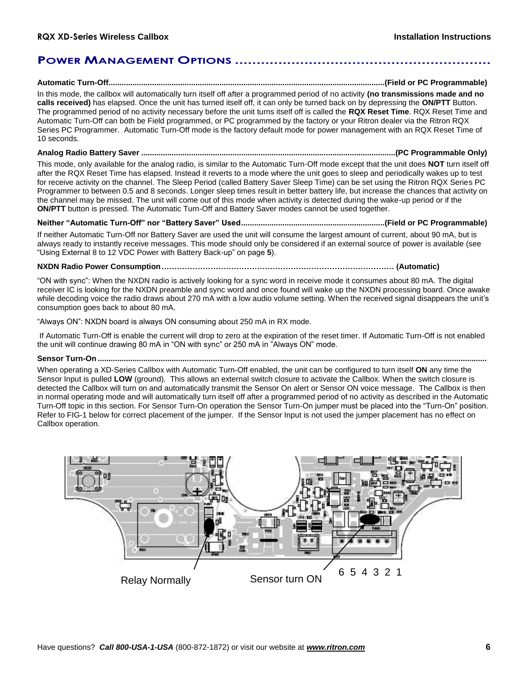### **POWER MANAGEMENT OPTIONS ...........................................................**

**Automatic Turn-Off...............................................................................................................................(Field or PC Programmable)**

In this mode, the callbox will automatically turn itself off after a programmed period of no activity **(no transmissions made and no calls received)** has elapsed. Once the unit has turned itself off, it can only be turned back on by depressing the **ON/PTT** Button. The programmed period of no activity necessary before the unit turns itself off is called the **RQX Reset Time**. RQX Reset Time and Automatic Turn-Off can both be Field programmed, or PC programmed by the factory or your Ritron dealer via the Ritron RQX Series PC Programmer. Automatic Turn-Off mode is the factory default mode for power management with an RQX Reset Time of 10 seconds.

### **Analog Radio Battery Saver .....................................................................................................................(PC Programmable Only)**

This mode, only available for the analog radio, is similar to the Automatic Turn-Off mode except that the unit does **NOT** turn itself off after the RQX Reset Time has elapsed. Instead it reverts to a mode where the unit goes to sleep and periodically wakes up to test for receive activity on the channel. The Sleep Period (called Battery Saver Sleep Time) can be set using the Ritron RQX Series PC Programmer to between 0.5 and 8 seconds. Longer sleep times result in better battery life, but increase the chances that activity on the channel may be missed. The unit will come out of this mode when activity is detected during the wake-up period or if the **ON/PTT** button is pressed. The Automatic Turn-Off and Battery Saver modes cannot be used together.

### **Neither "Automatic Turn-Off" nor "Battery Saver" Used..................................................................(Field or PC Programmable)**

If neither Automatic Turn-Off nor Battery Saver are used the unit will consume the largest amount of current, about 90 mA, but is always ready to instantly receive messages. This mode should only be considered if an external source of power is available (see "Using External 8 to 12 VDC Power with Battery Back-up" on page **5**).

### **NXDN Radio Power Consumption……………………………………………………………………………… (Automatic)**

"ON with sync": When the NXDN radio is actively looking for a sync word in receive mode it consumes about 80 mA. The digital receiver IC is looking for the NXDN preamble and sync word and once found will wake up the NXDN processing board. Once awake while decoding voice the radio draws about 270 mA with a low audio volume setting. When the received signal disappears the unit's consumption goes back to about 80 mA.

"Always ON": NXDN board is always ON consuming about 250 mA in RX mode.

If Automatic Turn-Off is enable the current will drop to zero at the expiration of the reset timer. If Automatic Turn-Off is not enabled the unit will continue drawing 80 mA in "ON with sync" or 250 mA in "Always ON" mode.

### **Sensor Turn-On ...................................................................................................................................................................................**

When operating a XD-Series Callbox with Automatic Turn-Off enabled, the unit can be configured to turn itself **ON** any time the Sensor Input is pulled **LOW** (ground). This allows an external switch closure to activate the Callbox. When the switch closure is detected the Callbox will turn on and automatically transmit the Sensor On alert or Sensor ON voice message. The Callbox is then in normal operating mode and will automatically turn itself off after a programmed period of no activity as described in the Automatic Turn-Off topic in this section. For Sensor Turn-On operation the Sensor Turn-On jumper must be placed into the "Turn-On" position. Refer to FIG-1 below for correct placement of the jumper. If the Sensor Input is not used the jumper placement has no effect on Callbox operation.

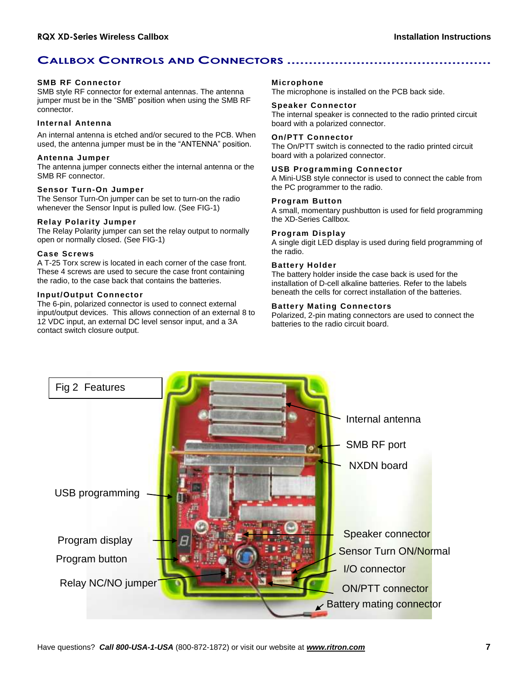# **CALLBOX CONTROLS AND CONNECTORS ...............................................**

### **SMB RF Connector**

SMB style RF connector for external antennas. The antenna jumper must be in the "SMB" position when using the SMB RF connector.

### **Internal Antenna**

An internal antenna is etched and/or secured to the PCB. When used, the antenna jumper must be in the "ANTENNA" position.

### **Antenna Jumper**

The antenna jumper connects either the internal antenna or the SMB RF connector.

### **Sensor Turn-On Jumper**

The Sensor Turn-On jumper can be set to turn-on the radio whenever the Sensor Input is pulled low. (See FIG-1)

#### **Relay Polarity Jumper**

The Relay Polarity jumper can set the relay output to normally open or normally closed. (See FIG-1)

### **Case Screws**

A T-25 Torx screw is located in each corner of the case front. These 4 screws are used to secure the case front containing the radio, to the case back that contains the batteries.

### **Input/Output Connector**

The 6-pin, polarized connector is used to connect external input/output devices. This allows connection of an external 8 to 12 VDC input, an external DC level sensor input, and a 3A contact switch closure output.

#### **Microphone**

The microphone is installed on the PCB back side.

#### **Speaker Connector**

The internal speaker is connected to the radio printed circuit board with a polarized connector.

### **On/PTT Connector**

The On/PTT switch is connected to the radio printed circuit board with a polarized connector.

### **USB Programming Connector**

A Mini-USB style connector is used to connect the cable from the PC programmer to the radio.

### **Program Button**

A small, momentary pushbutton is used for field programming the XD-Series Callbox.

### **Program Display**

A single digit LED display is used during field programming of the radio.

### **Battery Holder**

The battery holder inside the case back is used for the installation of D-cell alkaline batteries. Refer to the labels beneath the cells for correct installation of the batteries.

### **Battery Mating Connectors**

Polarized, 2-pin mating connectors are used to connect the batteries to the radio circuit board.

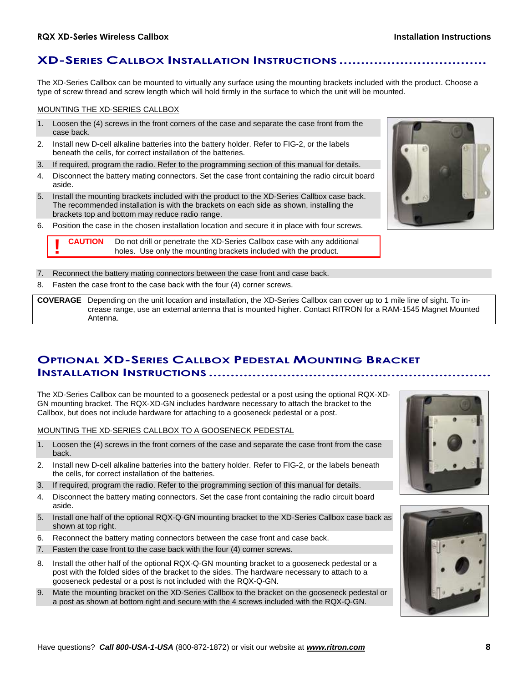### **XD-SERIES CALLBOX INSTALLATION INSTRUCTIONS ..................................**

The XD-Series Callbox can be mounted to virtually any surface using the mounting brackets included with the product. Choose a type of screw thread and screw length which will hold firmly in the surface to which the unit will be mounted.

### MOUNTING THE XD-SERIES CALLBOX

**!**

- 1. Loosen the (4) screws in the front corners of the case and separate the case front from the case back.
- 2. Install new D-cell alkaline batteries into the battery holder. Refer to FIG-2, or the labels beneath the cells, for correct installation of the batteries.
- 3. If required, program the radio. Refer to the programming section of this manual for details.
- 4. Disconnect the battery mating connectors. Set the case front containing the radio circuit board aside.
- 5. Install the mounting brackets included with the product to the XD-Series Callbox case back. The recommended installation is with the brackets on each side as shown, installing the brackets top and bottom may reduce radio range.
- 6. Position the case in the chosen installation location and secure it in place with four screws.

**CAUTION** Do not drill or penetrate the XD-Series Callbox case with any additional holes. Use only the mounting brackets included with the product.

- 7. Reconnect the battery mating connectors between the case front and case back.
- 8. Fasten the case front to the case back with the four (4) corner screws.

**COVERAGE** Depending on the unit location and installation, the XD-Series Callbox can cover up to 1 mile line of sight. To increase range, use an external antenna that is mounted higher. Contact RITRON for a RAM-1545 Magnet Mounted Antenna.

# **OPTIONAL XD-SERIES CALLBOX PEDESTAL MOUNTING BRACKET INSTALLATION INSTRUCTIONS .................................................................**

The XD-Series Callbox can be mounted to a gooseneck pedestal or a post using the optional RQX-XD-GN mounting bracket. The RQX-XD-GN includes hardware necessary to attach the bracket to the Callbox, but does not include hardware for attaching to a gooseneck pedestal or a post.

MOUNTING THE XD-SERIES CALLBOX TO A GOOSENECK PEDESTAL

- 1. Loosen the (4) screws in the front corners of the case and separate the case front from the case back.
- 2. Install new D-cell alkaline batteries into the battery holder. Refer to FIG-2, or the labels beneath the cells, for correct installation of the batteries.
- 3. If required, program the radio. Refer to the programming section of this manual for details.
- 4. Disconnect the battery mating connectors. Set the case front containing the radio circuit board aside.
- 5. Install one half of the optional RQX-Q-GN mounting bracket to the XD-Series Callbox case back as shown at top right.
- 6. Reconnect the battery mating connectors between the case front and case back.
- 7. Fasten the case front to the case back with the four (4) corner screws.
- 8. Install the other half of the optional RQX-Q-GN mounting bracket to a gooseneck pedestal or a post with the folded sides of the bracket to the sides. The hardware necessary to attach to a gooseneck pedestal or a post is not included with the RQX-Q-GN.
- 9. Mate the mounting bracket on the XD-Series Callbox to the bracket on the gooseneck pedestal or a post as shown at bottom right and secure with the 4 screws included with the RQX-Q-GN.





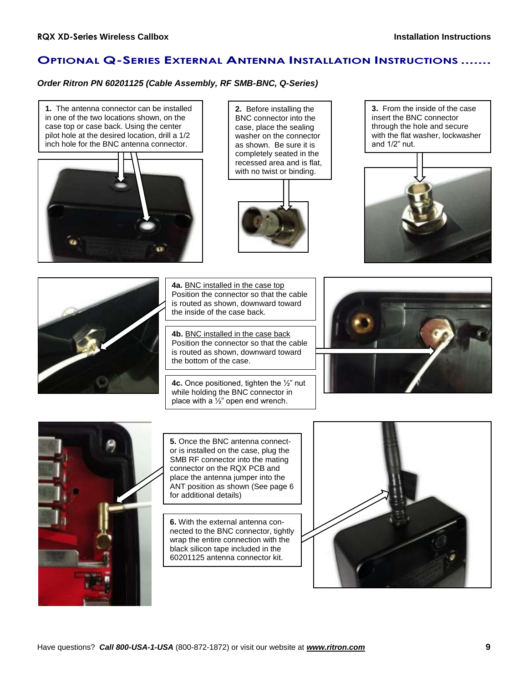# **OPTIONAL Q-SERIES EXTERNAL ANTENNA INSTALLATION INSTRUCTIONS .......**

### *Order Ritron PN 60201125 (Cable Assembly, RF SMB-BNC, Q-Series)*





**2.** Before installing the BNC connector into the case, place the sealing washer on the connector as shown. Be sure it is completely seated in the recessed area and is flat, with no twist or binding.



**3.** From the inside of the case insert the BNC connector through the hole and secure with the flat washer, lockwasher and 1/2" nut.





**4a.** BNC installed in the case top Position the connector so that the cable is routed as shown, downward toward the inside of the case back.

**4b.** BNC installed in the case back Position the connector so that the cable is routed as shown, downward toward the bottom of the case.

**4c.** Once positioned, tighten the ½" nut while holding the BNC connector in place with a ½" open end wrench.





**5.** Once the BNC antenna connector is installed on the case, plug the SMB RF connector into the mating connector on the RQX PCB and place the antenna jumper into the ANT position as shown (See page 6 for additional details)

**6.** With the external antenna connected to the BNC connector, tightly wrap the entire connection with the black silicon tape included in the 60201125 antenna connector kit.

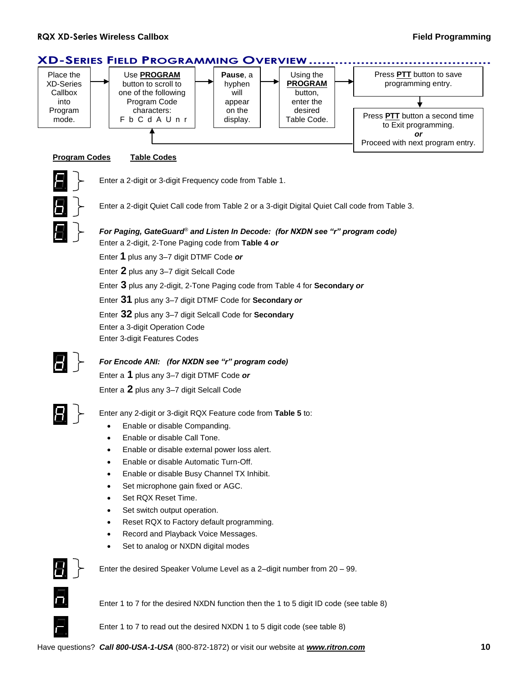

Enter 1 to 7 to read out the desired NXDN 1 to 5 digit code (see table 8)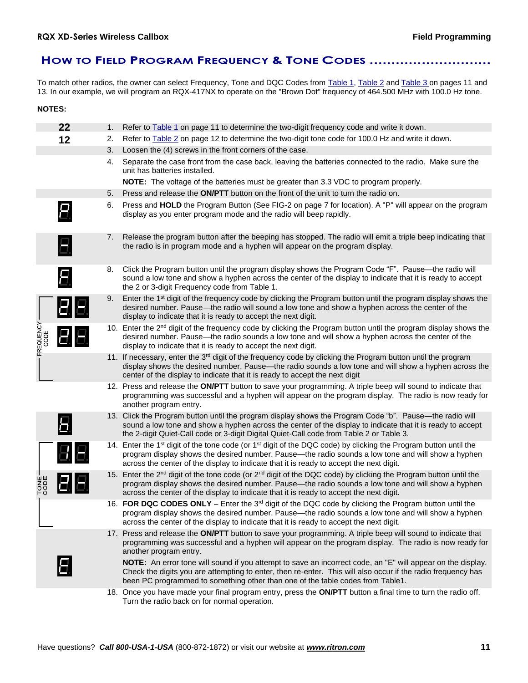# **HOW TO FIELD PROGRAM FREQUENCY & TONE CODES ............................**

To match other radios, the owner can select Frequency, Tone and DQC Codes from Table 1, Table 2 and Table 3 on pages 11 and 13. In our example, we will program an RQX-417NX to operate on the "Brown Dot" frequency of 464.500 MHz with 100.0 Hz tone.

| <b>NOTES:</b>     |    |    |                                                                                                                                                                                                                                                                                                                                           |
|-------------------|----|----|-------------------------------------------------------------------------------------------------------------------------------------------------------------------------------------------------------------------------------------------------------------------------------------------------------------------------------------------|
|                   | 22 | 1. | Refer to Table 1 on page 11 to determine the two-digit frequency code and write it down.                                                                                                                                                                                                                                                  |
|                   | 12 | 2. | Refer to Table 2 on page 12 to determine the two-digit tone code for 100.0 Hz and write it down.                                                                                                                                                                                                                                          |
|                   |    | 3. | Loosen the (4) screws in the front corners of the case.                                                                                                                                                                                                                                                                                   |
|                   |    | 4. | Separate the case front from the case back, leaving the batteries connected to the radio. Make sure the<br>unit has batteries installed.                                                                                                                                                                                                  |
|                   |    |    | <b>NOTE:</b> The voltage of the batteries must be greater than 3.3 VDC to program properly.                                                                                                                                                                                                                                               |
|                   |    | 5. | Press and release the ON/PTT button on the front of the unit to turn the radio on.                                                                                                                                                                                                                                                        |
|                   |    | 6. | Press and HOLD the Program Button (See FIG-2 on page 7 for location). A "P" will appear on the program<br>display as you enter program mode and the radio will beep rapidly.                                                                                                                                                              |
|                   | 8  | 7. | Release the program button after the beeping has stopped. The radio will emit a triple beep indicating that<br>the radio is in program mode and a hyphen will appear on the program display.                                                                                                                                              |
|                   | Ε. | 8. | Click the Program button until the program display shows the Program Code "F". Pause—the radio will<br>sound a low tone and show a hyphen across the center of the display to indicate that it is ready to accept<br>the 2 or 3-digit Frequency code from Table 1.                                                                        |
|                   | BI | 9. | Enter the 1 <sup>st</sup> digit of the frequency code by clicking the Program button until the program display shows the<br>desired number. Pause—the radio will sound a low tone and show a hyphen across the center of the<br>display to indicate that it is ready to accept the next digit.                                            |
| FREQUENCY<br>CODE |    |    | 10. Enter the 2 <sup>nd</sup> digit of the frequency code by clicking the Program button until the program display shows the<br>desired number. Pause—the radio sounds a low tone and will show a hyphen across the center of the<br>display to indicate that it is ready to accept the next digit.                                       |
|                   |    |    | 11. If necessary, enter the 3 <sup>rd</sup> digit of the frequency code by clicking the Program button until the program<br>display shows the desired number. Pause—the radio sounds a low tone and will show a hyphen across the<br>center of the display to indicate that it is ready to accept the next digit                          |
|                   |    |    | 12. Press and release the ON/PTT button to save your programming. A triple beep will sound to indicate that<br>programming was successful and a hyphen will appear on the program display. The radio is now ready for<br>another program entry.                                                                                           |
|                   | 6. |    | 13. Click the Program button until the program display shows the Program Code "b". Pause—the radio will<br>sound a low tone and show a hyphen across the center of the display to indicate that it is ready to accept<br>the 2-digit Quiet-Call code or 3-digit Digital Quiet-Call code from Table 2 or Table 3.                          |
|                   |    |    | 14. Enter the 1 <sup>st</sup> digit of the tone code (or 1 <sup>st</sup> digit of the DQC code) by clicking the Program button until the<br>program display shows the desired number. Pause—the radio sounds a low tone and will show a hyphen<br>across the center of the display to indicate that it is ready to accept the next digit. |
| TONE-<br>CODE     |    |    | 15. Enter the 2 <sup>nd</sup> digit of the tone code (or 2 <sup>nd</sup> digit of the DQC code) by clicking the Program button until the<br>program display shows the desired number. Pause—the radio sounds a low tone and will show a hyphen<br>across the center of the display to indicate that it is ready to accept the next digit. |
|                   |    |    | 16. FOR DQC CODES ONLY - Enter the 3 <sup>rd</sup> digit of the DQC code by clicking the Program button until the<br>program display shows the desired number. Pause—the radio sounds a low tone and will show a hyphen<br>across the center of the display to indicate that it is ready to accept the next digit.                        |
|                   |    |    | 17. Press and release the ON/PTT button to save your programming. A triple beep will sound to indicate that<br>programming was successful and a hyphen will appear on the program display. The radio is now ready for<br>another program entry.                                                                                           |
|                   |    |    | NOTE: An error tone will sound if you attempt to save an incorrect code, an "E" will appear on the display.<br>Check the digits you are attempting to enter, then re-enter. This will also occur if the radio frequency has<br>been PC programmed to something other than one of the table codes from Table1.                             |
|                   |    |    | 18. Once you have made your final program entry, press the ON/PTT button a final time to turn the radio off.<br>Turn the radio back on for normal operation.                                                                                                                                                                              |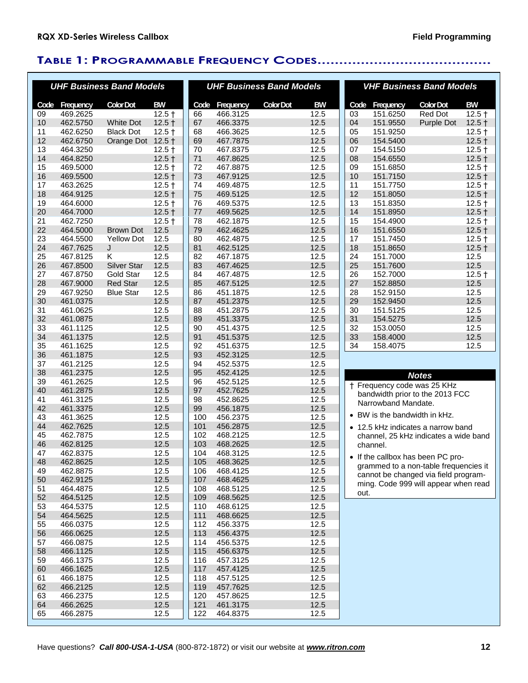# **TABLE 1: PROGRAMMABLE FREQUENCY CODES........................................**

|          |                      | <b>UHF Business Band Models</b>     |              |          |                      | <b>UHF Business Band Models</b> |              |           |                             | <b>VHF Business Band Models</b>       |                  |
|----------|----------------------|-------------------------------------|--------------|----------|----------------------|---------------------------------|--------------|-----------|-----------------------------|---------------------------------------|------------------|
| Code     | Frequency            | <b>Color Dot</b>                    | <b>BW</b>    |          | Code Frequency       | <b>Color Dot</b>                | <b>BW</b>    |           | Code Frequency              | <b>Color Dot</b>                      | <b>BW</b>        |
| 09       | 469.2625             |                                     | $12.5 +$     | 66       | 466.3125             |                                 | 12.5         | 03        | 151.6250                    | Red Dot                               | $12.5 +$         |
| 10       | 462.5750             | <b>White Dot</b>                    | $12.5 +$     | 67       | 466.3375             |                                 | 12.5         | 04        | 151.9550                    | Purple Dot                            | $12.5 +$         |
| 11       | 462.6250             | <b>Black Dot</b>                    | $12.5 +$     | 68       | 466.3625             |                                 | 12.5         | 05        | 151.9250                    |                                       | $12.5 +$         |
| 12       | 462.6750             | Orange Dot 12.5 +                   |              | 69       | 467.7875             |                                 | 12.5         | 06        | 154.5400                    |                                       | $12.5 +$         |
| 13       | 464.3250             |                                     | $12.5 +$     | 70       | 467.8375             |                                 | 12.5         | 07        | 154.5150                    |                                       | $12.5 +$         |
| 14       | 464.8250             |                                     | $12.5 +$     | 71       | 467.8625             |                                 | 12.5         | 08        | 154.6550                    |                                       | $12.5 +$         |
| 15       | 469.5000             |                                     | $12.5 +$     | 72       | 467.8875             |                                 | 12.5         | 09        | 151.6850                    |                                       | $12.5 +$         |
| 16       | 469.5500             |                                     | $12.5 +$     | 73       | 467.9125             |                                 | 12.5         | 10        | 151.7150                    |                                       | $12.5 +$         |
| 17       | 463.2625             |                                     | $12.5 +$     | 74       | 469.4875             |                                 | 12.5         | 11        | 151.7750                    |                                       | $12.5 +$         |
| 18       | 464.9125             |                                     | $12.5 +$     | 75       | 469.5125             |                                 | 12.5         | 12        | 151.8050                    |                                       | $12.5 +$         |
| 19       | 464.6000             |                                     | $12.5 +$     | 76       | 469.5375             |                                 | 12.5         | 13        | 151.8350                    |                                       | $12.5 +$         |
| 20       | 464.7000             |                                     | $12.5 +$     | 77       | 469.5625             |                                 | 12.5         | 14        | 151.8950                    |                                       | $12.5 +$         |
| 21       | 462.7250             |                                     | $12.5 +$     | 78       | 462.1875             |                                 | 12.5         | 15        | 154.4900                    |                                       | $12.5 +$         |
| 22       | 464.5000             | <b>Brown Dot</b>                    | 12.5         | 79       | 462.4625             |                                 | 12.5         | 16        | 151.6550                    |                                       | $12.5 +$         |
| 23       | 464.5500             | <b>Yellow Dot</b>                   | 12.5         | 80       | 462.4875             |                                 | 12.5         | 17        | 151.7450                    |                                       | $12.5 +$         |
| 24       | 467.7625             | J                                   | 12.5         | 81       | 462.5125             |                                 | 12.5         | 18        | 151.8650                    |                                       | $12.5 +$         |
| 25       | 467.8125             | ĸ                                   | 12.5         | 82       | 467.1875             |                                 | 12.5         | 24        | 151.7000                    |                                       | 12.5             |
| 26       | 467.8500             | <b>Silver Star</b>                  | 12.5         | 83       | 467.4625             |                                 | 12.5         | 25        | 151.7600                    |                                       | 12.5             |
| 27       | 467.8750             | <b>Gold Star</b><br><b>Red Star</b> | 12.5<br>12.5 | 84       | 467.4875             |                                 | 12.5<br>12.5 | 26        | 152.7000<br>152.8850        |                                       | $12.5 +$<br>12.5 |
| 28       | 467.9000             |                                     |              | 85       | 467.5125             |                                 |              | 27        |                             |                                       |                  |
| 29<br>30 | 467.9250             | <b>Blue Star</b>                    | 12.5<br>12.5 | 86       | 451.1875<br>451.2375 |                                 | 12.5<br>12.5 | 28        | 152.9150<br>152.9450        |                                       | 12.5<br>12.5     |
|          | 461.0375             |                                     |              | 87       |                      |                                 |              | 29        |                             |                                       |                  |
| 31<br>32 | 461.0625<br>461.0875 |                                     | 12.5<br>12.5 | 88<br>89 | 451.2875<br>451.3375 |                                 | 12.5<br>12.5 | 30<br>31  | 151.5125<br>154.5275        |                                       | 12.5<br>12.5     |
| 33       |                      |                                     | 12.5         | 90       | 451.4375             |                                 | 12.5         | 32        | 153.0050                    |                                       | 12.5             |
| 34       | 461.1125<br>461.1375 |                                     | 12.5         | 91       | 451.5375             |                                 | 12.5         | 33        | 158.4000                    |                                       | 12.5             |
| 35       | 461.1625             |                                     | 12.5         | 92       | 451.6375             |                                 | 12.5         | 34        | 158.4075                    |                                       | 12.5             |
| 36       | 461.1875             |                                     | 12.5         | 93       | 452.3125             |                                 | 12.5         |           |                             |                                       |                  |
| 37       | 461.2125             |                                     | 12.5         | 94       | 452.5375             |                                 | 12.5         |           |                             |                                       |                  |
| 38       | 461.2375             |                                     | 12.5         | 95       | 452.4125             |                                 | 12.5         |           |                             |                                       |                  |
| 39       | 461.2625             |                                     | 12.5         | 96       | 452.5125             |                                 | 12.5         |           |                             | <b>Notes</b>                          |                  |
| 40       | 461.2875             |                                     | 12.5         | 97       | 452.7625             |                                 | 12.5         |           |                             | † Frequency code was 25 KHz           |                  |
| 41       | 461.3125             |                                     | 12.5         | 98       | 452.8625             |                                 | 12.5         |           |                             | bandwidth prior to the 2013 FCC       |                  |
| 42       | 461.3375             |                                     | 12.5         | 99       | 456.1875             |                                 | 12.5         |           | Narrowband Mandate.         |                                       |                  |
| 43       | 461.3625             |                                     | 12.5         | 100      | 456.2375             |                                 | 12.5         | $\bullet$ | BW is the bandwidth in kHz. |                                       |                  |
| 44       | 462.7625             |                                     | 12.5         | 101      | 456.2875             |                                 | 12.5         |           |                             | • 12.5 kHz indicates a narrow band    |                  |
| 45       | 462.7875             |                                     | 12.5         | 102      | 468.2125             |                                 | 12.5         |           |                             | channel, 25 kHz indicates a wide band |                  |
| 46       | 462.8125             |                                     | 12.5         | 103      | 468.2625             |                                 | 12.5         |           | channel.                    |                                       |                  |
| 47       | 462.8375             |                                     | 12.5         | 104      | 468.3125             |                                 | 12.5         |           |                             | • If the callbox has been PC pro-     |                  |
| 48       | 462.8625             |                                     | 12.5         | 105      | 468.3625             |                                 | 12.5         |           |                             | grammed to a non-table frequencies it |                  |
| 49       | 462.8875             |                                     | 12.5         | 106      | 468.4125             |                                 | 12.5         |           |                             | cannot be changed via field program-  |                  |
| 50       | 462.9125             |                                     | 12.5         | 107      | 468.4625             |                                 | 12.5         |           |                             | ming. Code 999 will appear when read  |                  |
| 51       | 464.4875             |                                     | 12.5         | 108      | 468.5125             |                                 | 12.5         | out.      |                             |                                       |                  |
| 52       | 464.5125             |                                     | 12.5         | 109      | 468.5625             |                                 | 12.5         |           |                             |                                       |                  |
| 53       | 464.5375             |                                     | 12.5         | 110      | 468.6125             |                                 | 12.5         |           |                             |                                       |                  |
| 54       | 464.5625             |                                     | 12.5         | 111      | 468.6625             |                                 | 12.5         |           |                             |                                       |                  |
| 55       | 466.0375             |                                     | 12.5         | 112      | 456.3375             |                                 | 12.5         |           |                             |                                       |                  |
| 56       | 466.0625             |                                     | 12.5         | 113      | 456.4375             |                                 | 12.5         |           |                             |                                       |                  |
| 57       | 466.0875             |                                     | 12.5         | 114      | 456.5375             |                                 | 12.5         |           |                             |                                       |                  |
| 58       | 466.1125             |                                     | 12.5         | 115      | 456.6375             |                                 | 12.5         |           |                             |                                       |                  |
| 59       | 466.1375             |                                     | 12.5         | 116      | 457.3125             |                                 | 12.5         |           |                             |                                       |                  |
| 60       | 466.1625             |                                     | 12.5         | 117      | 457.4125             |                                 | 12.5         |           |                             |                                       |                  |
| 61       | 466.1875             |                                     | 12.5         | 118      | 457.5125             |                                 | 12.5         |           |                             |                                       |                  |
| 62       | 466.2125             |                                     | 12.5         | 119      | 457.7625             |                                 | 12.5         |           |                             |                                       |                  |
| 63       | 466.2375             |                                     | 12.5         | 120      | 457.8625             |                                 | 12.5         |           |                             |                                       |                  |
| 64       | 466.2625             |                                     | 12.5         | 121      | 461.3175             |                                 | 12.5         |           |                             |                                       |                  |
| 65       | 466.2875             |                                     | 12.5         | 122      | 464.8375             |                                 | 12.5         |           |                             |                                       |                  |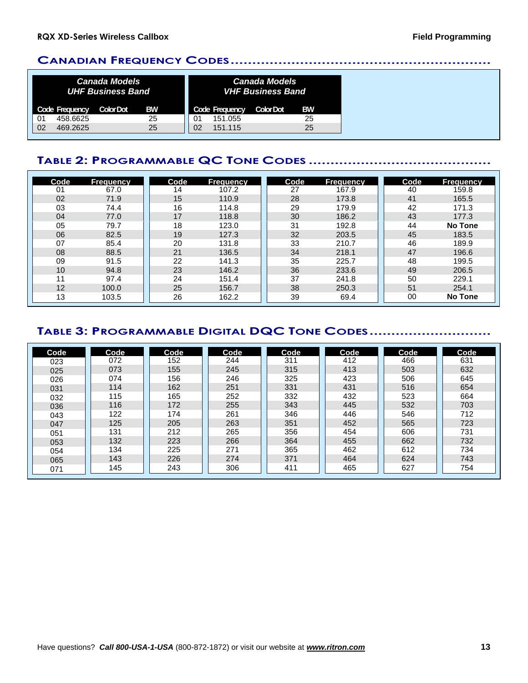### **CANADIAN FREQUENCY CODES............................................................**

|    |                | <b>Canada Models</b><br><b>UHF Business Band</b> |    |    |                | <b>Canada Models</b><br><b>VHF Business Band</b> |           |
|----|----------------|--------------------------------------------------|----|----|----------------|--------------------------------------------------|-----------|
|    | Code Frequency | <b>Color Dot</b>                                 | BW |    | Code Frequency | <b>Color Dot</b>                                 | <b>BW</b> |
| 01 | 458.6625       |                                                  | 25 | 01 | 151.055        |                                                  | 25        |
| 02 | 469.2625       |                                                  | 25 | 02 | 151.115        |                                                  | 25        |

# **TABLE 2: PROGRAMMABLE QC TONE CODES ..........................................**

| Code | <b>Frequency</b> | Code | <b>Frequency</b> | Code | <b>Frequency</b> | Code | <b>Frequency</b> |
|------|------------------|------|------------------|------|------------------|------|------------------|
| 01   | 67.0             | 14   | 107.2            | 27   | 167.9            | 40   | 159.8            |
| 02   | 71.9             | 15   | 110.9            | 28   | 173.8            | 41   | 165.5            |
| 03   | 74.4             | 16   | 114.8            | 29   | 179.9            | 42   | 171.3            |
| 04   | 77.0             | 17   | 118.8            | 30   | 186.2            | 43   | 177.3            |
| 05   | 79.7             | 18   | 123.0            | 31   | 192.8            | 44   | <b>No Tone</b>   |
| 06   | 82.5             | 19   | 127.3            | 32   | 203.5            | 45   | 183.5            |
| 07   | 85.4             | 20   | 131.8            | 33   | 210.7            | 46   | 189.9            |
| 08   | 88.5             | 21   | 136.5            | 34   | 218.1            | 47   | 196.6            |
| 09   | 91.5             | 22   | 141.3            | 35   | 225.7            | 48   | 199.5            |
| 10   | 94.8             | 23   | 146.2            | 36   | 233.6            | 49   | 206.5            |
| 11   | 97.4             | 24   | 151.4            | 37   | 241.8            | 50   | 229.1            |
| 12   | 100.0            | 25   | 156.7            | 38   | 250.3            | 51   | 254.1            |
| 13   | 103.5            | 26   | 162.2            | 39   | 69.4             | 00   | <b>No Tone</b>   |

# **TABLE 3: PROGRAMMABLE DIGITAL DQC TONE CODES............................**

| Code | Code | Code | Code | Code | Code | Code | Code |
|------|------|------|------|------|------|------|------|
| 023  | 072  | 152  | 244  | 311  | 412  | 466  | 631  |
| 025  | 073  | 155  | 245  | 315  | 413  | 503  | 632  |
| 026  | 074  | 156  | 246  | 325  | 423  | 506  | 645  |
| 031  | 114  | 162  | 251  | 331  | 431  | 516  | 654  |
| 032  | 115  | 165  | 252  | 332  | 432  | 523  | 664  |
| 036  | 116  | 172  | 255  | 343  | 445  | 532  | 703  |
| 043  | 122  | 174  | 261  | 346  | 446  | 546  | 712  |
| 047  | 125  | 205  | 263  | 351  | 452  | 565  | 723  |
| 051  | 131  | 212  | 265  | 356  | 454  | 606  | 731  |
| 053  | 132  | 223  | 266  | 364  | 455  | 662  | 732  |
| 054  | 134  | 225  | 271  | 365  | 462  | 612  | 734  |
| 065  | 143  | 226  | 274  | 371  | 464  | 624  | 743  |
| 071  | 145  | 243  | 306  | 411  | 465  | 627  | 754  |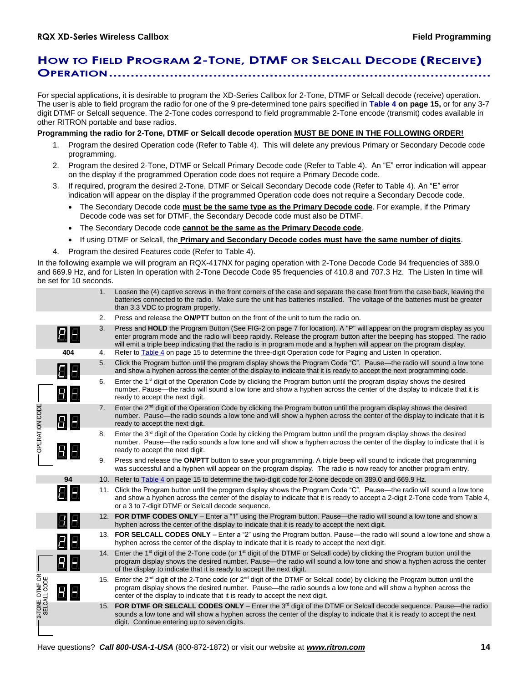# **HOW TO FIELD PROGRAM 2-TONE, DTMF OR SELCALL DECODE (RECEIVE) OPERATION........................................................................................**

For special applications, it is desirable to program the XD-Series Callbox for 2-Tone, DTMF or Selcall decode (receive) operation. The user is able to field program the radio for one of the 9 pre-determined tone pairs specified in **Table 4 on page 15,** or for any 3-7 digit DTMF or Selcall sequence. The 2-Tone codes correspond to field programmable 2-Tone encode (transmit) codes available in other RITRON portable and base radios.

### **Programming the radio for 2-Tone, DTMF or Selcall decode operation MUST BE DONE IN THE FOLLOWING ORDER!**

- 1. Program the desired Operation code (Refer to Table 4). This will delete any previous Primary or Secondary Decode code programming.
- 2. Program the desired 2-Tone, DTMF or Selcall Primary Decode code (Refer to Table 4). An "E" error indication will appear on the display if the programmed Operation code does not require a Primary Decode code.
- 3. If required, program the desired 2-Tone, DTMF or Selcall Secondary Decode code (Refer to Table 4). An "E" error indication will appear on the display if the programmed Operation code does not require a Secondary Decode code.
	- The Secondary Decode code **must be the same type as the Primary Decode code**. For example, if the Primary Decode code was set for DTMF, the Secondary Decode code must also be DTMF.
	- The Secondary Decode code **cannot be the same as the Primary Decode code**.
	- If using DTMF or Selcall, the **Primary and Secondary Decode codes must have the same number of digits**.
- 4. Program the desired Features code (Refer to Table 4).

In the following example we will program an RQX-417NX for paging operation with 2-Tone Decode Code 94 frequencies of 389.0 and 669.9 Hz, and for Listen In operation with 2-Tone Decode Code 95 frequencies of 410.8 and 707.3 Hz. The Listen In time will be set for 10 seconds.

|                                 |                  | 1.             | Loosen the (4) captive screws in the front corners of the case and separate the case front from the case back, leaving the<br>batteries connected to the radio. Make sure the unit has batteries installed. The voltage of the batteries must be greater<br>than 3.3 VDC to program properly.                                                                             |
|---------------------------------|------------------|----------------|---------------------------------------------------------------------------------------------------------------------------------------------------------------------------------------------------------------------------------------------------------------------------------------------------------------------------------------------------------------------------|
|                                 |                  | 2.             | Press and release the ON/PTT button on the front of the unit to turn the radio on.                                                                                                                                                                                                                                                                                        |
|                                 | 88               | 3.             | Press and HOLD the Program Button (See FIG-2 on page 7 for location). A "P" will appear on the program display as you<br>enter program mode and the radio will beep rapidly. Release the program button after the beeping has stopped. The radio<br>will emit a triple beep indicating that the radio is in program mode and a hyphen will appear on the program display. |
|                                 | 404              | 4.             | Refer to Table 4 on page 15 to determine the three-digit Operation code for Paging and Listen In operation.                                                                                                                                                                                                                                                               |
|                                 | 88               | 5.             | Click the Program button until the program display shows the Program Code "C". Pause—the radio will sound a low tone<br>and show a hyphen across the center of the display to indicate that it is ready to accept the next programming code.                                                                                                                              |
|                                 | $B \overline{E}$ | 6.             | Enter the 1 <sup>st</sup> digit of the Operation Code by clicking the Program button until the program display shows the desired<br>number. Pause—the radio will sound a low tone and show a hyphen across the center of the display to indicate that it is<br>ready to accept the next digit.                                                                            |
|                                 | 80               | 7 <sub>1</sub> | Enter the 2 <sup>nd</sup> digit of the Operation Code by clicking the Program button until the program display shows the desired<br>number. Pause—the radio sounds a low tone and will show a hyphen across the center of the display to indicate that it is<br>ready to accept the next digit.                                                                           |
| - OPERATION CODE                | $B \overline{E}$ | 8.             | Enter the 3 <sup>rd</sup> digit of the Operation Code by clicking the Program button until the program display shows the desired<br>number. Pause—the radio sounds a low tone and will show a hyphen across the center of the display to indicate that it is<br>ready to accept the next digit.                                                                           |
|                                 |                  | 9.             | Press and release the ON/PTT button to save your programming. A triple beep will sound to indicate that programming<br>was successful and a hyphen will appear on the program display. The radio is now ready for another program entry.                                                                                                                                  |
|                                 | 94               |                | 10. Refer to Table 4 on page 15 to determine the two-digit code for 2-tone decode on 389.0 and 669.9 Hz.                                                                                                                                                                                                                                                                  |
|                                 | 日日               |                | 11. Click the Program button until the program display shows the Program Code "C". Pause—the radio will sound a low tone<br>and show a hyphen across the center of the display to indicate that it is ready to accept a 2-digit 2-Tone code from Table 4,<br>or a 3 to 7-digit DTMF or Selcall decode sequence.                                                           |
|                                 | 88               |                | 12. FOR DTMF CODES ONLY - Enter a "1" using the Program button. Pause—the radio will sound a low tone and show a<br>hyphen across the center of the display to indicate that it is ready to accept the next digit.                                                                                                                                                        |
|                                 | $B \overline{B}$ |                | 13. FOR SELCALL CODES ONLY - Enter a "2" using the Program button. Pause-the radio will sound a low tone and show a<br>hyphen across the center of the display to indicate that it is ready to accept the next digit.                                                                                                                                                     |
|                                 | 98               |                | 14. Enter the 1 <sup>st</sup> digit of the 2-Tone code (or 1 <sup>st</sup> digit of the DTMF or Selcall code) by clicking the Program button until the<br>program display shows the desired number. Pause—the radio will sound a low tone and show a hyphen across the center<br>of the display to indicate that it is ready to accept the next digit.                    |
| 2-TONE, DTMF OR<br>SELCALL CODE | $B \overline{B}$ |                | 15. Enter the 2 <sup>nd</sup> digit of the 2-Tone code (or 2 <sup>nd</sup> digit of the DTMF or Selcall code) by clicking the Program button until the<br>program display shows the desired number. Pause—the radio sounds a low tone and will show a hyphen across the<br>center of the display to indicate that it is ready to accept the next digit.                   |
|                                 |                  |                | 15. FOR DTMF OR SELCALL CODES ONLY - Enter the 3 <sup>rd</sup> digit of the DTMF or Selcall decode sequence. Pause—the radio<br>sounds a low tone and will show a hyphen across the center of the display to indicate that it is ready to accept the next<br>digit. Continue entering up to seven digits.                                                                 |
|                                 |                  |                |                                                                                                                                                                                                                                                                                                                                                                           |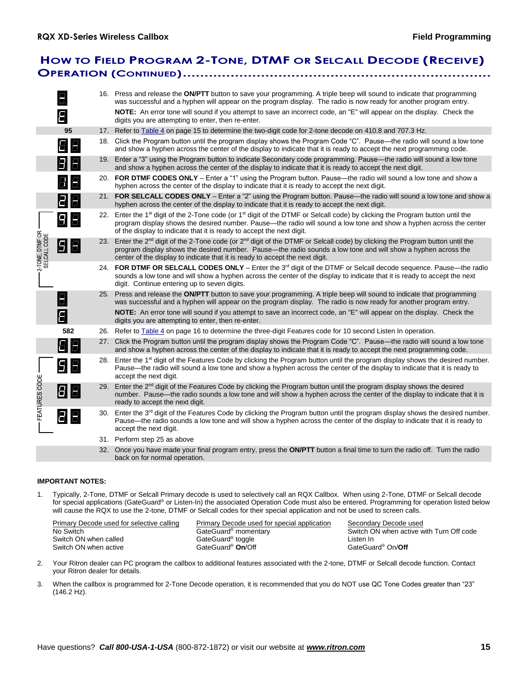# **HOW TO FIELD PROGRAM 2-TONE, DTMF OR SELCALL DECODE (RECEIVE) OPERATION (CONTINUED).......................................................................**

|                                 |      |     | 16. Press and release the ON/PTT button to save your programming. A triple beep will sound to indicate that programming<br>was successful and a hyphen will appear on the program display. The radio is now ready for another program entry.                                                                                                            |
|---------------------------------|------|-----|---------------------------------------------------------------------------------------------------------------------------------------------------------------------------------------------------------------------------------------------------------------------------------------------------------------------------------------------------------|
|                                 | 8    |     | NOTE: An error tone will sound if you attempt to save an incorrect code, an "E" will appear on the display. Check the<br>digits you are attempting to enter, then re-enter.                                                                                                                                                                             |
|                                 | 95   | 17. | Refer to Table 4 on page 15 to determine the two-digit code for 2-tone decode on 410.8 and 707.3 Hz.                                                                                                                                                                                                                                                    |
|                                 | 8.   |     | 18. Click the Program button until the program display shows the Program Code "C". Pause—the radio will sound a low tone<br>and show a hyphen across the center of the display to indicate that it is ready to accept the next programming code.                                                                                                        |
|                                 | 8 E  |     | 19. Enter a "3" using the Program button to indicate Secondary code programming. Pause—the radio will sound a low tone<br>and show a hyphen across the center of the display to indicate that it is ready to accept the next digit.                                                                                                                     |
|                                 | 88.  |     | 20. FOR DTMF CODES ONLY – Enter a "1" using the Program button. Pause—the radio will sound a low tone and show a<br>hyphen across the center of the display to indicate that it is ready to accept the next digit.                                                                                                                                      |
|                                 | 86   |     | 21. FOR SELCALL CODES ONLY - Enter a "2" using the Program button. Pause—the radio will sound a low tone and show a<br>hyphen across the center of the display to indicate that it is ready to accept the next digit.                                                                                                                                   |
|                                 | 8 El |     | 22. Enter the 1 <sup>st</sup> digit of the 2-Tone code (or 1 <sup>st</sup> digit of the DTMF or Selcall code) by clicking the Program button until the<br>program display shows the desired number. Pause—the radio will sound a low tone and show a hyphen across the center<br>of the display to indicate that it is ready to accept the next digit.  |
| 2-TONE, DTMF OR<br>SELCALL CODE | 88   |     | 23. Enter the 2 <sup>nd</sup> digit of the 2-Tone code (or 2 <sup>nd</sup> digit of the DTMF or Selcall code) by clicking the Program button until the<br>program display shows the desired number. Pause-the radio sounds a low tone and will show a hyphen across the<br>center of the display to indicate that it is ready to accept the next digit. |
|                                 |      |     | 24. FOR DTMF OR SELCALL CODES ONLY - Enter the 3rd digit of the DTMF or Selcall decode sequence. Pause—the radio<br>sounds a low tone and will show a hyphen across the center of the display to indicate that it is ready to accept the next<br>digit. Continue entering up to seven digits.                                                           |
|                                 |      |     | 25. Press and release the ON/PTT button to save your programming. A triple beep will sound to indicate that programming<br>was successful and a hyphen will appear on the program display. The radio is now ready for another program entry.                                                                                                            |
|                                 | 8    |     | NOTE: An error tone will sound if you attempt to save an incorrect code, an "E" will appear on the display. Check the<br>digits you are attempting to enter, then re-enter.                                                                                                                                                                             |
|                                 | 582  |     | 26. Refer to Table 4 on page 16 to determine the three-digit Features code for 10 second Listen In operation.                                                                                                                                                                                                                                           |
|                                 | 8    |     | 27. Click the Program button until the program display shows the Program Code "C". Pause—the radio will sound a low tone<br>and show a hyphen across the center of the display to indicate that it is ready to accept the next programming code.                                                                                                        |
|                                 | 6 El |     | 28. Enter the 1 <sup>st</sup> digit of the Features Code by clicking the Program button until the program display shows the desired number.<br>Pause—the radio will sound a low tone and show a hyphen across the center of the display to indicate that it is ready to<br>accept the next digit.                                                       |
| FEATURES CODE                   | 88   |     | 29. Enter the 2 <sup>nd</sup> digit of the Features Code by clicking the Program button until the program display shows the desired<br>number. Pause—the radio sounds a low tone and will show a hyphen across the center of the display to indicate that it is<br>ready to accept the next digit.                                                      |
|                                 | Ы    |     | 30. Enter the 3 <sup>rd</sup> digit of the Features Code by clicking the Program button until the program display shows the desired number.<br>Pause—the radio sounds a low tone and will show a hyphen across the center of the display to indicate that it is ready to<br>accept the next digit.                                                      |
|                                 |      |     | 31. Perform step 25 as above                                                                                                                                                                                                                                                                                                                            |
|                                 |      |     | 32. Once you have made your final program entry, press the ON/PTT button a final time to turn the radio off. Turn the radio<br>back on for normal operation.                                                                                                                                                                                            |

### **IMPORTANT NOTES:**

1. Typically, 2-Tone, DTMF or Selcall Primary decode is used to selectively call an RQX Callbox. When using 2-Tone, DTMF or Selcall decode for special applications (GateGuard® or Listen-In) the associated Operation Code must also be entered. Programming for operation listed below will cause the RQX to use the 2-tone, DTMF or Selcall codes for their special application and not be used to screen calls.

| Primary Decode used for selective calling | Primary Decode used for special application | Secondary Decode used                    |
|-------------------------------------------|---------------------------------------------|------------------------------------------|
| No Switch                                 | GateGuard <sup>®</sup> momentary            | Switch ON when active with Turn Off code |
| Switch ON when called                     | GateGuard <sup>®</sup> toggle               | Listen In                                |
| Switch ON when active                     | GateGuard <sup>®</sup> On/Off               | GateGuard <sup>®</sup> On/Off            |
|                                           |                                             |                                          |

- 2. Your Ritron dealer can PC program the callbox to additional features associated with the 2-tone, DTMF or Selcall decode function. Contact your Ritron dealer for details.
- 3. When the callbox is programmed for 2-Tone Decode operation, it is recommended that you do NOT use QC Tone Codes greater than "23" (146.2 Hz).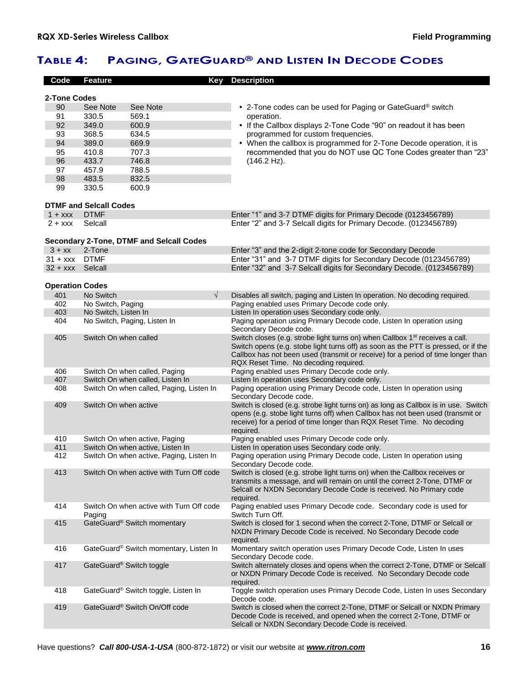# **TABLE 4: PAGING, GATEGUARD® AND LISTEN IN DECODE CODES**

| Code                   | <b>Feature</b>                            | Key                                             | <b>Description</b>                                                                                                                                                                                                                                                                                          |
|------------------------|-------------------------------------------|-------------------------------------------------|-------------------------------------------------------------------------------------------------------------------------------------------------------------------------------------------------------------------------------------------------------------------------------------------------------------|
|                        |                                           |                                                 |                                                                                                                                                                                                                                                                                                             |
| 2-Tone Codes           |                                           |                                                 |                                                                                                                                                                                                                                                                                                             |
| 90                     | See Note                                  | See Note                                        | • 2-Tone codes can be used for Paging or GateGuard <sup>®</sup> switch                                                                                                                                                                                                                                      |
| 91                     | 330.5                                     | 569.1                                           | operation.                                                                                                                                                                                                                                                                                                  |
| 92                     | 349.0                                     | 600.9                                           | • If the Callbox displays 2-Tone Code "90" on readout it has been                                                                                                                                                                                                                                           |
| 93                     | 368.5                                     | 634.5                                           | programmed for custom frequencies.                                                                                                                                                                                                                                                                          |
| 94                     | 389.0                                     | 669.9                                           | • When the callbox is programmed for 2-Tone Decode operation, it is                                                                                                                                                                                                                                         |
| 95                     | 410.8                                     | 707.3                                           | recommended that you do NOT use QC Tone Codes greater than "23"                                                                                                                                                                                                                                             |
| 96                     | 433.7                                     | 746.8                                           | $(146.2 \text{ Hz}).$                                                                                                                                                                                                                                                                                       |
| 97                     | 457.9                                     | 788.5                                           |                                                                                                                                                                                                                                                                                                             |
| 98                     | 483.5                                     | 832.5                                           |                                                                                                                                                                                                                                                                                                             |
| 99                     | 330.5                                     | 600.9                                           |                                                                                                                                                                                                                                                                                                             |
|                        | <b>DTMF and Selcall Codes</b>             |                                                 |                                                                                                                                                                                                                                                                                                             |
| $1 + XXX$              | <b>DTMF</b>                               |                                                 | Enter "1" and 3-7 DTMF digits for Primary Decode (0123456789)                                                                                                                                                                                                                                               |
| $2 + XXX$              | Selcall                                   |                                                 | Enter "2" and 3-7 Selcall digits for Primary Decode. (0123456789)                                                                                                                                                                                                                                           |
|                        |                                           |                                                 |                                                                                                                                                                                                                                                                                                             |
|                        |                                           | <b>Secondary 2-Tone, DTMF and Selcall Codes</b> |                                                                                                                                                                                                                                                                                                             |
| $3 + xx$               | 2-Tone                                    |                                                 | Enter "3" and the 2-digit 2-tone code for Secondary Decode                                                                                                                                                                                                                                                  |
| $31 + XXX$ DTMF        |                                           |                                                 | Enter "31" and 3-7 DTMF digits for Secondary Decode (0123456789)                                                                                                                                                                                                                                            |
| 32 + xxx Selcall       |                                           |                                                 | Enter "32" and 3-7 Selcall digits for Secondary Decode. (0123456789)                                                                                                                                                                                                                                        |
| <b>Operation Codes</b> |                                           |                                                 |                                                                                                                                                                                                                                                                                                             |
|                        |                                           | $\sqrt{ }$                                      |                                                                                                                                                                                                                                                                                                             |
| 401<br>402             | No Switch                                 |                                                 | Disables all switch, paging and Listen In operation. No decoding required.<br>Paging enabled uses Primary Decode code only.                                                                                                                                                                                 |
| 403                    | No Switch, Paging<br>No Switch, Listen In |                                                 | Listen In operation uses Secondary code only.                                                                                                                                                                                                                                                               |
| 404                    |                                           | No Switch, Paging, Listen In                    | Paging operation using Primary Decode code, Listen In operation using                                                                                                                                                                                                                                       |
|                        |                                           |                                                 | Secondary Decode code.                                                                                                                                                                                                                                                                                      |
| 405                    | Switch On when called                     |                                                 | Switch closes (e.g. strobe light turns on) when Callbox 1 <sup>st</sup> receives a call.<br>Switch opens (e.g. stobe light turns off) as soon as the PTT is pressed, or if the<br>Callbox has not been used (transmit or receive) for a period of time longer than<br>RQX Reset Time. No decoding required. |
| 406                    |                                           | Switch On when called, Paging                   | Paging enabled uses Primary Decode code only.                                                                                                                                                                                                                                                               |
| 407                    |                                           | Switch On when called, Listen In                | Listen In operation uses Secondary code only.                                                                                                                                                                                                                                                               |
| 408                    |                                           | Switch On when called, Paging, Listen In        | Paging operation using Primary Decode code, Listen In operation using<br>Secondary Decode code.                                                                                                                                                                                                             |
| 409                    | Switch On when active                     |                                                 | Switch is closed (e.g. strobe light turns on) as long as Callbox is in use. Switch<br>opens (e.g. stobe light turns off) when Callbox has not been used (transmit or<br>receive) for a period of time longer than RQX Reset Time. No decoding<br>required.                                                  |
| 410                    |                                           | Switch On when active, Paging                   | Paging enabled uses Primary Decode code only.                                                                                                                                                                                                                                                               |
| 411                    |                                           | Switch On when active, Listen In                | Listen In operation uses Secondary code only.                                                                                                                                                                                                                                                               |
| 412                    |                                           | Switch On when active, Paging, Listen In        | Paging operation using Primary Decode code, Listen In operation using<br>Secondary Decode code.                                                                                                                                                                                                             |
| 413                    |                                           | Switch On when active with Turn Off code        | Switch is closed (e.g. strobe light turns on) when the Callbox receives or<br>transmits a message, and will remain on until the correct 2-Tone. DTMF or<br>Selcall or NXDN Secondary Decode Code is received. No Primary code<br>required.                                                                  |
| 414                    | Paging                                    | Switch On when active with Turn Off code        | Paging enabled uses Primary Decode code. Secondary code is used for<br>Switch Turn Off.                                                                                                                                                                                                                     |
| 415                    |                                           | GateGuard® Switch momentary                     | Switch is closed for 1 second when the correct 2-Tone, DTMF or Selcall or<br>NXDN Primary Decode Code is received. No Secondary Decode code<br>required.                                                                                                                                                    |
| 416                    |                                           | GateGuard® Switch momentary, Listen In          | Momentary switch operation uses Primary Decode Code, Listen In uses<br>Secondary Decode code.                                                                                                                                                                                                               |
| 417                    |                                           | GateGuard® Switch toggle                        | Switch alternately closes and opens when the correct 2-Tone, DTMF or Selcall<br>or NXDN Primary Decode Code is received. No Secondary Decode code<br>required.                                                                                                                                              |
| 418                    |                                           | GateGuard® Switch toggle, Listen In             | Toggle switch operation uses Primary Decode Code, Listen In uses Secondary<br>Decode code.                                                                                                                                                                                                                  |
| 419                    |                                           | GateGuard® Switch On/Off code                   | Switch is closed when the correct 2-Tone, DTMF or Selcall or NXDN Primary<br>Decode Code is received, and opened when the correct 2-Tone, DTMF or<br>Selcall or NXDN Secondary Decode Code is received.                                                                                                     |
|                        |                                           |                                                 |                                                                                                                                                                                                                                                                                                             |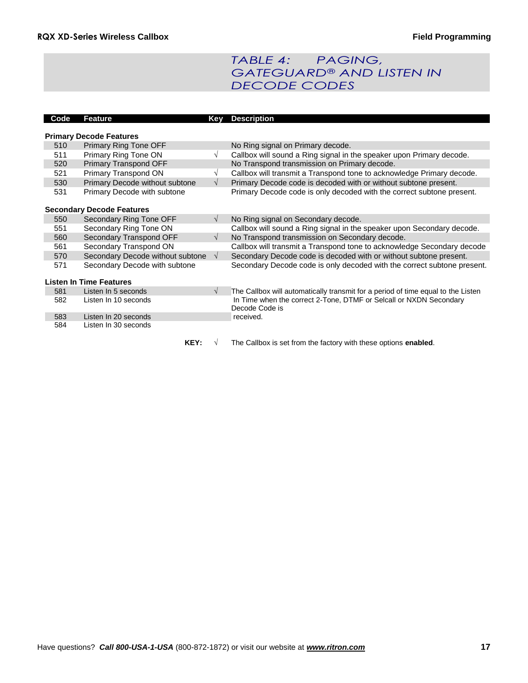# *TABLE 4: PAGING, GATEGUARD® AND LISTEN IN DECODE CODES*

| Code | <b>Feature</b>                   | Key        | <b>Description</b>                                                               |
|------|----------------------------------|------------|----------------------------------------------------------------------------------|
|      |                                  |            |                                                                                  |
|      | <b>Primary Decode Features</b>   |            |                                                                                  |
| 510  | Primary Ring Tone OFF            |            | No Ring signal on Primary decode.                                                |
| 511  | Primary Ring Tone ON             | $\sqrt{}$  | Callbox will sound a Ring signal in the speaker upon Primary decode.             |
| 520  | Primary Transpond OFF            |            | No Transpond transmission on Primary decode.                                     |
| 521  | Primary Transpond ON             | $\sqrt{}$  | Callbox will transmit a Transpond tone to acknowledge Primary decode.            |
| 530  | Primary Decode without subtone   | $\sqrt{ }$ | Primary Decode code is decoded with or without subtone present.                  |
| 531  | Primary Decode with subtone      |            | Primary Decode code is only decoded with the correct subtone present.            |
|      | <b>Secondary Decode Features</b> |            |                                                                                  |
| 550  | Secondary Ring Tone OFF          | $\sqrt{ }$ | No Ring signal on Secondary decode.                                              |
| 551  | Secondary Ring Tone ON           |            | Callbox will sound a Ring signal in the speaker upon Secondary decode.           |
| 560  | Secondary Transpond OFF          | $\sqrt{ }$ | No Transpond transmission on Secondary decode.                                   |
| 561  | Secondary Transpond ON           |            | Callbox will transmit a Transpond tone to acknowledge Secondary decode           |
| 570  | Secondary Decode without subtone | $\sqrt{ }$ | Secondary Decode code is decoded with or without subtone present.                |
| 571  | Secondary Decode with subtone    |            | Secondary Decode code is only decoded with the correct subtone present.          |
|      | <b>Listen In Time Features</b>   |            |                                                                                  |
| 581  | Listen In 5 seconds              | $\sqrt{ }$ | The Callbox will automatically transmit for a period of time equal to the Listen |
| 582  | Listen In 10 seconds             |            | In Time when the correct 2-Tone, DTMF or Selcall or NXDN Secondary               |
|      |                                  |            | Decode Code is                                                                   |
| 583  | Listen In 20 seconds             |            | received.                                                                        |
| 584  | Listen In 30 seconds             |            |                                                                                  |
|      | KEY:                             |            | The Callbox is set from the factory with these options enabled.                  |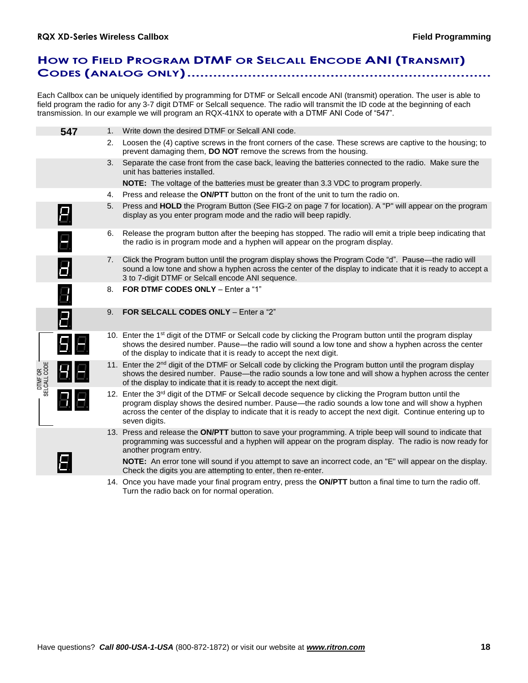# **HOW TO FIELD PROGRAM DTMF OR SELCALL ENCODE ANI (TRANSMIT) CODES (ANALOG ONLY)......................................................................**

Each Callbox can be uniquely identified by programming for DTMF or Selcall encode ANI (transmit) operation. The user is able to field program the radio for any 3-7 digit DTMF or Selcall sequence. The radio will transmit the ID code at the beginning of each transmission. In our example we will program an RQX-41NX to operate with a DTMF ANI Code of "547".

|                        | 547                | 1. | Write down the desired DTMF or Selcall ANI code.                                                                                                                                                                                                                                                                                                              |
|------------------------|--------------------|----|---------------------------------------------------------------------------------------------------------------------------------------------------------------------------------------------------------------------------------------------------------------------------------------------------------------------------------------------------------------|
|                        |                    | 2. | Loosen the (4) captive screws in the front corners of the case. These screws are captive to the housing; to<br>prevent damaging them, DO NOT remove the screws from the housing.                                                                                                                                                                              |
|                        |                    | 3. | Separate the case front from the case back, leaving the batteries connected to the radio. Make sure the<br>unit has batteries installed.                                                                                                                                                                                                                      |
|                        |                    |    | <b>NOTE:</b> The voltage of the batteries must be greater than 3.3 VDC to program properly.                                                                                                                                                                                                                                                                   |
|                        |                    | 4. | Press and release the <b>ON/PTT</b> button on the front of the unit to turn the radio on.                                                                                                                                                                                                                                                                     |
|                        | 8                  | 5. | Press and HOLD the Program Button (See FIG-2 on page 7 for location). A "P" will appear on the program<br>display as you enter program mode and the radio will beep rapidly.                                                                                                                                                                                  |
|                        | Ξ.                 | 6. | Release the program button after the beeping has stopped. The radio will emit a triple beep indicating that<br>the radio is in program mode and a hyphen will appear on the program display.                                                                                                                                                                  |
|                        | 8                  | 7. | Click the Program button until the program display shows the Program Code "d". Pause—the radio will<br>sound a low tone and show a hyphen across the center of the display to indicate that it is ready to accept a<br>3 to 7-digit DTMF or Selcall encode ANI sequence.                                                                                      |
|                        | $\boldsymbol{\Xi}$ | 8. | FOR DTMF CODES ONLY - Enter a "1"                                                                                                                                                                                                                                                                                                                             |
|                        | 0                  | 9. | FOR SELCALL CODES ONLY - Enter a "2"                                                                                                                                                                                                                                                                                                                          |
|                        | $B \, E$           |    | 10. Enter the 1 <sup>st</sup> digit of the DTMF or Selcall code by clicking the Program button until the program display<br>shows the desired number. Pause—the radio will sound a low tone and show a hyphen across the center<br>of the display to indicate that it is ready to accept the next digit.                                                      |
| DTMFOR<br>SELCALL CODE | 88                 |    | 11. Enter the 2 <sup>nd</sup> digit of the DTMF or Selcall code by clicking the Program button until the program display<br>shows the desired number. Pause—the radio sounds a low tone and will show a hyphen across the center<br>of the display to indicate that it is ready to accept the next digit.                                                     |
|                        |                    |    | 12. Enter the 3 <sup>rd</sup> digit of the DTMF or Selcall decode sequence by clicking the Program button until the<br>program display shows the desired number. Pause—the radio sounds a low tone and will show a hyphen<br>across the center of the display to indicate that it is ready to accept the next digit. Continue entering up to<br>seven digits. |
|                        |                    |    | 13. Press and release the ON/PTT button to save your programming. A triple beep will sound to indicate that<br>programming was successful and a hyphen will appear on the program display. The radio is now ready for<br>another program entry.                                                                                                               |
|                        |                    |    | <b>NOTE:</b> An error tone will sound if you attempt to save an incorrect code, an "E" will appear on the display.<br>Check the digits you are attempting to enter, then re-enter.                                                                                                                                                                            |
|                        |                    |    | 1.1. Once you have made your final program entry, press the <b>ON/PTT</b> button a final time to turn the radio off                                                                                                                                                                                                                                           |

14. Once you have made your final program entry, press the **ON/PTT** button a final time to turn the radio off. Turn the radio back on for normal operation.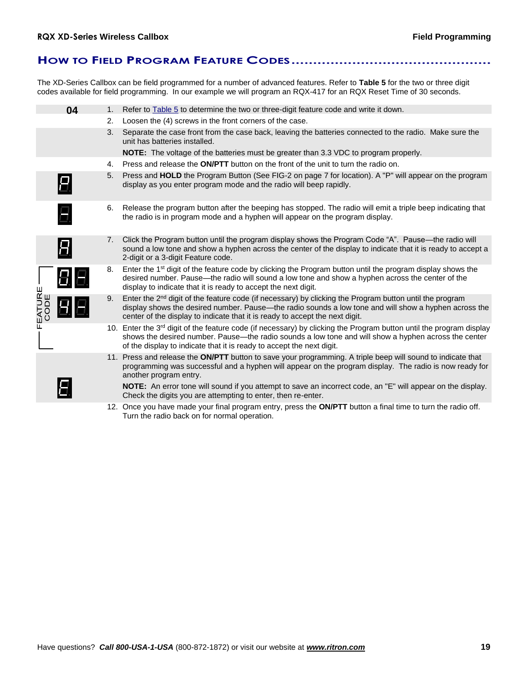### **HOW TO FIELD PROGRAM FEATURE CODES..............................................**

The XD-Series Callbox can be field programmed for a number of advanced features. Refer to **Table 5** for the two or three digit codes available for field programming. In our example we will program an RQX-417 for an RQX Reset Time of 30 seconds.

|                | 04 | 1. | Refer to <b>Table 5</b> to determine the two or three-digit feature code and write it down.                                                                                                                                                                                                                      |
|----------------|----|----|------------------------------------------------------------------------------------------------------------------------------------------------------------------------------------------------------------------------------------------------------------------------------------------------------------------|
|                |    | 2. | Loosen the (4) screws in the front corners of the case.                                                                                                                                                                                                                                                          |
|                |    | 3. | Separate the case front from the case back, leaving the batteries connected to the radio. Make sure the<br>unit has batteries installed.                                                                                                                                                                         |
|                |    |    | <b>NOTE:</b> The voltage of the batteries must be greater than 3.3 VDC to program properly.                                                                                                                                                                                                                      |
|                |    | 4. | Press and release the <b>ON/PTT</b> button on the front of the unit to turn the radio on.                                                                                                                                                                                                                        |
|                | Н. | 5. | Press and HOLD the Program Button (See FIG-2 on page 7 for location). A "P" will appear on the program<br>display as you enter program mode and the radio will beep rapidly.                                                                                                                                     |
|                | Ξ. | 6. | Release the program button after the beeping has stopped. The radio will emit a triple beep indicating that<br>the radio is in program mode and a hyphen will appear on the program display.                                                                                                                     |
|                | 8  | 7. | Click the Program button until the program display shows the Program Code "A". Pause—the radio will<br>sound a low tone and show a hyphen across the center of the display to indicate that it is ready to accept a<br>2-digit or a 3-digit Feature code.                                                        |
|                | 86 | 8. | Enter the 1 <sup>st</sup> digit of the feature code by clicking the Program button until the program display shows the<br>desired number. Pause—the radio will sound a low tone and show a hyphen across the center of the<br>display to indicate that it is ready to accept the next digit.                     |
| EATURE<br>CODE |    | 9. | Enter the $2nd$ digit of the feature code (if necessary) by clicking the Program button until the program<br>display shows the desired number. Pause—the radio sounds a low tone and will show a hyphen across the<br>center of the display to indicate that it is ready to accept the next digit.               |
|                |    |    | 10. Enter the 3 <sup>rd</sup> digit of the feature code (if necessary) by clicking the Program button until the program display<br>shows the desired number. Pause—the radio sounds a low tone and will show a hyphen across the center<br>of the display to indicate that it is ready to accept the next digit. |
|                |    |    | 11. Press and release the ON/PTT button to save your programming. A triple beep will sound to indicate that<br>programming was successful and a hyphen will appear on the program display. The radio is now ready for<br>another program entry.                                                                  |
|                |    |    | <b>NOTE:</b> An error tone will sound if you attempt to save an incorrect code, an "E" will appear on the display.<br>Check the digits you are attempting to enter, then re-enter.                                                                                                                               |
|                |    |    | 12. Once you have made your final program entry, press the ON/PTT button a final time to turn the radio off.<br>Turn the radio back on for normal operation.                                                                                                                                                     |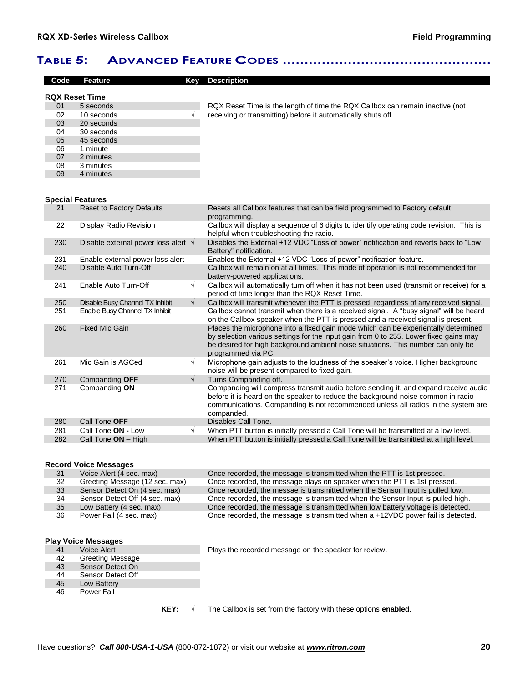## **TABLE 5: ADVANCED FEATURE CODES ................................................**

| Code                  | <b>Feature</b>                              | Kev        | <b>Description</b>                                                                                                                                                                                                                                                                    |
|-----------------------|---------------------------------------------|------------|---------------------------------------------------------------------------------------------------------------------------------------------------------------------------------------------------------------------------------------------------------------------------------------|
| <b>RQX Reset Time</b> |                                             |            |                                                                                                                                                                                                                                                                                       |
| 01                    | 5 seconds                                   |            | RQX Reset Time is the length of time the RQX Callbox can remain inactive (not                                                                                                                                                                                                         |
| 02                    | 10 seconds                                  | $\sqrt{}$  | receiving or transmitting) before it automatically shuts off.                                                                                                                                                                                                                         |
| 03                    | 20 seconds                                  |            |                                                                                                                                                                                                                                                                                       |
| 04                    | 30 seconds                                  |            |                                                                                                                                                                                                                                                                                       |
| 05                    | 45 seconds                                  |            |                                                                                                                                                                                                                                                                                       |
| 06                    | 1 minute                                    |            |                                                                                                                                                                                                                                                                                       |
| 07                    | 2 minutes                                   |            |                                                                                                                                                                                                                                                                                       |
| 08                    | 3 minutes                                   |            |                                                                                                                                                                                                                                                                                       |
| 09                    | 4 minutes                                   |            |                                                                                                                                                                                                                                                                                       |
|                       |                                             |            |                                                                                                                                                                                                                                                                                       |
|                       | <b>Special Features</b>                     |            |                                                                                                                                                                                                                                                                                       |
| 21                    | <b>Reset to Factory Defaults</b>            |            | Resets all Callbox features that can be field programmed to Factory default<br>programming.                                                                                                                                                                                           |
| 22                    | Display Radio Revision                      |            | Callbox will display a sequence of 6 digits to identify operating code revision. This is<br>helpful when troubleshooting the radio.                                                                                                                                                   |
| 230                   | Disable external power loss alert $\sqrt{}$ |            | Disables the External +12 VDC "Loss of power" notification and reverts back to "Low<br>Battery" notification.                                                                                                                                                                         |
| 231                   | Enable external power loss alert            |            | Enables the External +12 VDC "Loss of power" notification feature.                                                                                                                                                                                                                    |
| 240                   | Disable Auto Turn-Off                       |            | Callbox will remain on at all times. This mode of operation is not recommended for<br>battery-powered applications.                                                                                                                                                                   |
| 241                   | Enable Auto Turn-Off                        | $\sqrt{ }$ | Callbox will automatically turn off when it has not been used (transmit or receive) for a<br>period of time longer than the RQX Reset Time.                                                                                                                                           |
| 250                   | Disable Busy Channel TX Inhibit             | $\sqrt{ }$ | Callbox will transmit whenever the PTT is pressed, regardless of any received signal.                                                                                                                                                                                                 |
| 251                   | Enable Busy Channel TX Inhibit              |            | Callbox cannot transmit when there is a received signal. A "busy signal" will be heard<br>on the Callbox speaker when the PTT is pressed and a received signal is present.                                                                                                            |
| 260                   | <b>Fixed Mic Gain</b>                       |            | Places the microphone into a fixed gain mode which can be experientally determined<br>by selection various settings for the input gain from 0 to 255. Lower fixed gains may<br>be desired for high background ambient noise situations. This number can only be<br>programmed via PC. |
| 261                   | Mic Gain is AGCed                           | $\sqrt{ }$ | Microphone gain adjusts to the loudness of the speaker's voice. Higher background<br>noise will be present compared to fixed gain.                                                                                                                                                    |
| 270                   | Companding OFF                              | $\sqrt{ }$ | Turns Companding off.                                                                                                                                                                                                                                                                 |
| 271                   | Companding ON                               |            | Companding will compress transmit audio before sending it, and expand receive audio<br>before it is heard on the speaker to reduce the background noise common in radio<br>communications. Companding is not recommended unless all radios in the system are<br>companded.            |
| 280                   | Call Tone OFF                               |            | Disables Call Tone.                                                                                                                                                                                                                                                                   |
| 281                   | Call Tone ON - Low                          | $\sqrt{ }$ | When PTT button is initially pressed a Call Tone will be transmitted at a low level.                                                                                                                                                                                                  |
| 282                   | Call Tone ON - High                         |            | When PTT button is initially pressed a Call Tone will be transmitted at a high level.                                                                                                                                                                                                 |

### **Record Voice Messages**

| 31 | Voice Alert (4 sec. max)       | Once recorded, the message is transmitted when the PTT is 1st pressed.          |
|----|--------------------------------|---------------------------------------------------------------------------------|
| 32 | Greeting Message (12 sec. max) | Once recorded, the message plays on speaker when the PTT is 1st pressed.        |
| 33 | Sensor Detect On (4 sec. max)  | Once recorded, the messae is transmitted when the Sensor Input is pulled low.   |
| 34 | Sensor Detect Off (4 sec. max) | Once recorded, the message is transmitted when the Sensor Input is pulled high. |
| 35 | Low Battery (4 sec. max)       | Once recorded, the message is transmitted when low battery voltage is detected. |
| 36 | Power Fail (4 sec. max)        | Once recorded, the message is transmitted when a +12VDC power fail is detected. |

**Play Voice Messages**

42 Greeting Message 43 Sensor Detect On

- 44 Sensor Detect Off<br>45 Low Battery
- 45 Low Battery<br>46 Power Fail Power Fail

41 Voice Alert Plays the recorded message on the speaker for review.<br>42 Greeting Message

**KEY:**  $\sqrt{\phantom{a}}$  The Callbox is set from the factory with these options **enabled**.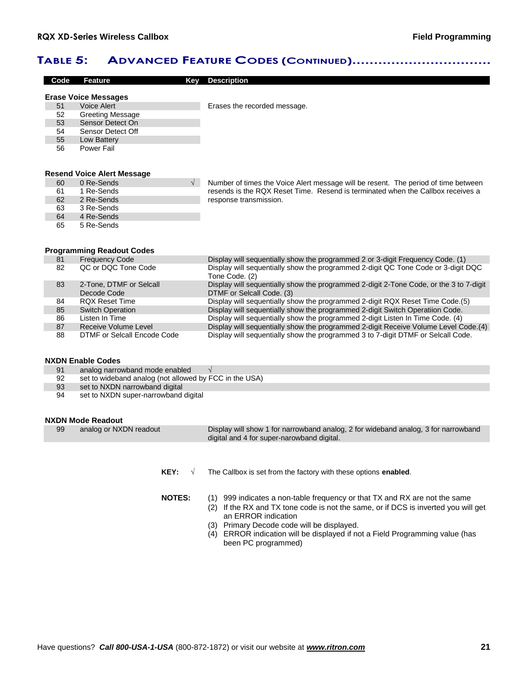### **TABLE 5: ADVANCED FEATURE CODES (CONTINUED)................................**

| Code | <b>Feature</b><br>Key                                  | <b>Description</b>                                                                                                                                                    |
|------|--------------------------------------------------------|-----------------------------------------------------------------------------------------------------------------------------------------------------------------------|
|      | <b>Erase Voice Messages</b>                            |                                                                                                                                                                       |
| 51   | Voice Alert                                            | Erases the recorded message.                                                                                                                                          |
| 52   | <b>Greeting Message</b>                                |                                                                                                                                                                       |
| 53   | Sensor Detect On                                       |                                                                                                                                                                       |
| 54   | Sensor Detect Off                                      |                                                                                                                                                                       |
| 55   | Low Battery                                            |                                                                                                                                                                       |
| 56   | <b>Power Fail</b>                                      |                                                                                                                                                                       |
|      |                                                        |                                                                                                                                                                       |
|      | <b>Resend Voice Alert Message</b>                      |                                                                                                                                                                       |
| 60   | 0 Re-Sends                                             |                                                                                                                                                                       |
| 61   | 1 Re-Sends                                             | Number of times the Voice Alert message will be resent. The period of time between<br>resends is the RQX Reset Time. Resend is terminated when the Callbox receives a |
| 62   | 2 Re-Sends                                             | response transmission.                                                                                                                                                |
| 63   | 3 Re-Sends                                             |                                                                                                                                                                       |
| 64   | 4 Re-Sends                                             |                                                                                                                                                                       |
| 65   | 5 Re-Sends                                             |                                                                                                                                                                       |
|      |                                                        |                                                                                                                                                                       |
|      | <b>Programming Readout Codes</b>                       |                                                                                                                                                                       |
| 81   | <b>Frequency Code</b>                                  | Display will sequentially show the programmed 2 or 3-digit Frequency Code. (1)                                                                                        |
| 82   | QC or DQC Tone Code                                    | Display will sequentially show the programmed 2-digit QC Tone Code or 3-digit DQC                                                                                     |
|      |                                                        | Tone Code. (2)                                                                                                                                                        |
| 83   | 2-Tone, DTMF or Selcall                                | Display will sequentially show the programmed 2-digit 2-Tone Code, or the 3 to 7-digit                                                                                |
|      | Decode Code                                            | DTMF or Selcall Code. (3)                                                                                                                                             |
| 84   | <b>ROX Reset Time</b>                                  | Display will sequentially show the programmed 2-digit RQX Reset Time Code.(5)                                                                                         |
| 85   | <b>Switch Operation</b>                                | Display will sequentially show the programmed 2-digit Switch Operatiion Code.                                                                                         |
| 86   | Listen In Time                                         | Display will sequentially show the programmed 2-digit Listen In Time Code. (4)                                                                                        |
| 87   | Receive Volume Level                                   | Display will sequentially show the programmed 2-digit Receive Volume Level Code.(4)                                                                                   |
| 88   | DTMF or Selcall Encode Code                            | Display will sequentially show the programmed 3 to 7-digit DTMF or Selcall Code.                                                                                      |
|      |                                                        |                                                                                                                                                                       |
|      | <b>NXDN Enable Codes</b>                               |                                                                                                                                                                       |
| 91   | analog narrowband mode enabled                         | $\sqrt{ }$                                                                                                                                                            |
| 92   | set to wideband analog (not allowed by FCC in the USA) |                                                                                                                                                                       |
| 93   | set to NXDN narrowband digital                         |                                                                                                                                                                       |
| 94   | set to NXDN super-narrowband digital                   |                                                                                                                                                                       |
|      |                                                        |                                                                                                                                                                       |
|      | <b>NXDN Mode Readout</b>                               |                                                                                                                                                                       |
| 99   | analog or NXDN readout                                 | Display will show 1 for narrowband analog, 2 for wideband analog, 3 for narrowband                                                                                    |

**KEY:**  $\sqrt{\phantom{a}}$  The Callbox is set from the factory with these options **enabled**.

digital and 4 for super-narowband digital.

- **NOTES:** (1) 999 indicates a non-table frequency or that TX and RX are not the same
	- $(2)$  If the RX and TX tone code is not the same, or if DCS is inverted you will get an ERROR indication
		- (3) Primary Decode code will be displayed.
		- (4) ERROR indication will be displayed if not a Field Programming value (has been PC programmed)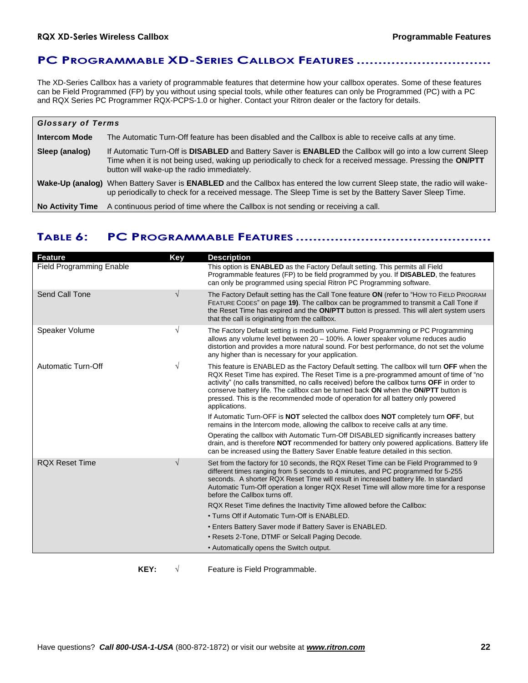### **PC PROGRAMMABLE XD-SERIES CALLBOX FEATURES ...............................**

The XD-Series Callbox has a variety of programmable features that determine how your callbox operates. Some of these features can be Field Programmed (FP) by you without using special tools, while other features can only be Programmed (PC) with a PC and RQX Series PC Programmer RQX-PCPS-1.0 or higher. Contact your Ritron dealer or the factory for details.

| <b>Glossary of Terms</b> |                                                                                                                                                                                                                                                                          |  |
|--------------------------|--------------------------------------------------------------------------------------------------------------------------------------------------------------------------------------------------------------------------------------------------------------------------|--|
| <b>Intercom Mode</b>     | The Automatic Turn-Off feature has been disabled and the Callbox is able to receive calls at any time.                                                                                                                                                                   |  |
| Sleep (analog)           | If Automatic Turn-Off is DISABLED and Battery Saver is ENABLED the Callbox will go into a low current Sleep<br>Time when it is not being used, waking up periodically to check for a received message. Pressing the ON/PTT<br>button will wake-up the radio immediately. |  |
|                          | Wake-Up (analog) When Battery Saver is ENABLED and the Callbox has entered the low current Sleep state, the radio will wake-<br>up periodically to check for a received message. The Sleep Time is set by the Battery Saver Sleep Time.                                  |  |
| <b>No Activity Time</b>  | A continuous period of time where the Callbox is not sending or receiving a call.                                                                                                                                                                                        |  |

# **TABLE 6: PC PROGRAMMABLE FEATURES .............................................**

| <b>Feature</b>                  | <b>Key</b> | <b>Description</b>                                                                                                                                                                                                                                                                                                                                                                                                                                                           |
|---------------------------------|------------|------------------------------------------------------------------------------------------------------------------------------------------------------------------------------------------------------------------------------------------------------------------------------------------------------------------------------------------------------------------------------------------------------------------------------------------------------------------------------|
| <b>Field Programming Enable</b> |            | This option is <b>ENABLED</b> as the Factory Default setting. This permits all Field<br>Programmable features (FP) to be field programmed by you. If DISABLED, the features<br>can only be programmed using special Ritron PC Programming software.                                                                                                                                                                                                                          |
| Send Call Tone                  | $\sqrt{ }$ | The Factory Default setting has the Call Tone feature ON (refer to "How TO FIELD PROGRAM<br>FEATURE CODES" on page 19). The callbox can be programmed to transmit a Call Tone if<br>the Reset Time has expired and the ON/PTT button is pressed. This will alert system users<br>that the call is originating from the callbox.                                                                                                                                              |
| Speaker Volume                  | $\sqrt{ }$ | The Factory Default setting is medium volume. Field Programming or PC Programming<br>allows any volume level between 20 - 100%. A lower speaker volume reduces audio<br>distortion and provides a more natural sound. For best performance, do not set the volume<br>any higher than is necessary for your application.                                                                                                                                                      |
| Automatic Turn-Off              | $\sqrt{ }$ | This feature is ENABLED as the Factory Default setting. The callbox will turn OFF when the<br>RQX Reset Time has expired. The Reset Time is a pre-programmed amount of time of "no<br>activity" (no calls transmitted, no calls received) before the callbox turns OFF in order to<br>conserve battery life. The callbox can be turned back ON when the ON/PTT button is<br>pressed. This is the recommended mode of operation for all battery only powered<br>applications. |
|                                 |            | If Automatic Turn-OFF is <b>NOT</b> selected the callbox does <b>NOT</b> completely turn OFF, but<br>remains in the Intercom mode, allowing the callbox to receive calls at any time.                                                                                                                                                                                                                                                                                        |
|                                 |            | Operating the callbox with Automatic Turn-Off DISABLED significantly increases battery<br>drain, and is therefore <b>NOT</b> recommended for battery only powered applications. Battery life<br>can be increased using the Battery Saver Enable feature detailed in this section.                                                                                                                                                                                            |
| <b>ROX Reset Time</b>           | $\sqrt{ }$ | Set from the factory for 10 seconds, the RQX Reset Time can be Field Programmed to 9<br>different times ranging from 5 seconds to 4 minutes, and PC programmed for 5-255<br>seconds. A shorter RQX Reset Time will result in increased battery life. In standard<br>Automatic Turn-Off operation a longer RQX Reset Time will allow more time for a response<br>before the Callbox turns off.                                                                                |
|                                 |            | RQX Reset Time defines the Inactivity Time allowed before the Callbox:                                                                                                                                                                                                                                                                                                                                                                                                       |
|                                 |            | • Turns Off if Automatic Turn-Off is ENABLED.                                                                                                                                                                                                                                                                                                                                                                                                                                |
|                                 |            | . Enters Battery Saver mode if Battery Saver is ENABLED.                                                                                                                                                                                                                                                                                                                                                                                                                     |
|                                 |            | • Resets 2-Tone, DTMF or Selcall Paging Decode.                                                                                                                                                                                                                                                                                                                                                                                                                              |
|                                 |            | • Automatically opens the Switch output.                                                                                                                                                                                                                                                                                                                                                                                                                                     |
|                                 |            |                                                                                                                                                                                                                                                                                                                                                                                                                                                                              |

**KEY:**  $\sqrt{ }$  Feature is Field Programmable.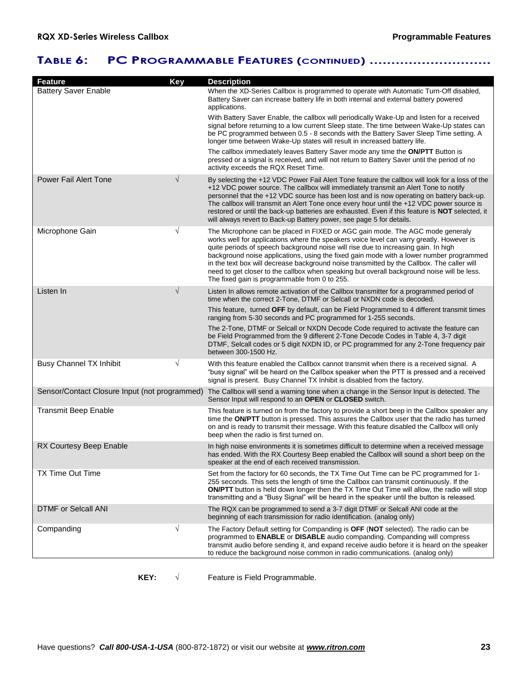# **TABLE 6: PC PROGRAMMABLE FEATURES (CONTINUED) ............................**

| <b>Feature</b>                                | <b>Key</b> | <b>Description</b>                                                                                                                                                                                                                                                                                                                                                                                                                                                                                                                                                                                      |
|-----------------------------------------------|------------|---------------------------------------------------------------------------------------------------------------------------------------------------------------------------------------------------------------------------------------------------------------------------------------------------------------------------------------------------------------------------------------------------------------------------------------------------------------------------------------------------------------------------------------------------------------------------------------------------------|
| <b>Battery Saver Enable</b>                   |            | When the XD-Series Callbox is programmed to operate with Automatic Turn-Off disabled,<br>Battery Saver can increase battery life in both internal and external battery powered<br>applications.                                                                                                                                                                                                                                                                                                                                                                                                         |
|                                               |            | With Battery Saver Enable, the callbox will periodically Wake-Up and listen for a received<br>signal before returning to a low current Sleep state. The time between Wake-Up states can<br>be PC programmed between 0.5 - 8 seconds with the Battery Saver Sleep Time setting. A<br>longer time between Wake-Up states will result in increased battery life.                                                                                                                                                                                                                                           |
|                                               |            | The callbox immediately leaves Battery Saver mode any time the ON/PTT Button is<br>pressed or a signal is received, and will not return to Battery Saver until the period of no<br>activity exceeds the RQX Reset Time.                                                                                                                                                                                                                                                                                                                                                                                 |
| <b>Power Fail Alert Tone</b>                  | $\sqrt{}$  | By selecting the +12 VDC Power Fail Alert Tone feature the callbox will look for a loss of the<br>+12 VDC power source. The callbox will immediately transmit an Alert Tone to notify<br>personnel that the +12 VDC source has been lost and is now operating on battery back-up.<br>The callbox will transmit an Alert Tone once every hour until the +12 VDC power source is<br>restored or until the back-up batteries are exhausted. Even if this feature is <b>NOT</b> selected, it<br>will always revert to Back-up Battery power, see page 5 for details.                                        |
| Microphone Gain                               | $\sqrt{}$  | The Microphone can be placed in FIXED or AGC gain mode. The AGC mode generaly<br>works well for applications where the speakers voice level can varry greatly. However is<br>quite periods of speech background noise will rise due to increasing gain. In high<br>background noise applications, using the fixed gain mode with a lower number programmed<br>in the text box will decrease background noise transmitted by the Callbox. The caller will<br>need to get closer to the callbox when speaking but overall background noise will be less.<br>The fixed gain is programmable from 0 to 255. |
| Listen In                                     | $\sqrt{}$  | Listen In allows remote activation of the Callbox transmitter for a programmed period of<br>time when the correct 2-Tone, DTMF or Selcall or NXDN code is decoded.                                                                                                                                                                                                                                                                                                                                                                                                                                      |
|                                               |            | This feature, turned OFF by default, can be Field Programmed to 4 different transmit times<br>ranging from 5-30 seconds and PC programmed for 1-255 seconds.                                                                                                                                                                                                                                                                                                                                                                                                                                            |
|                                               |            | The 2-Tone, DTMF or Selcall or NXDN Decode Code required to activate the feature can<br>be Field Programmed from the 9 different 2-Tone Decode Codes in Table 4, 3-7 digit<br>DTMF, Selcall codes or 5 digit NXDN ID, or PC programmed for any 2-Tone frequency pair<br>between 300-1500 Hz.                                                                                                                                                                                                                                                                                                            |
| <b>Busy Channel TX Inhibit</b>                | $\sqrt{}$  | With this feature enabled the Callbox cannot transmit when there is a received signal. A<br>"busy signal" will be heard on the Callbox speaker when the PTT is pressed and a received<br>signal is present. Busy Channel TX Inhibit is disabled from the factory.                                                                                                                                                                                                                                                                                                                                       |
| Sensor/Contact Closure Input (not programmed) |            | The Callbox will send a warning tone when a change in the Sensor Input is detected. The<br>Sensor Input will respond to an OPEN or CLOSED switch.                                                                                                                                                                                                                                                                                                                                                                                                                                                       |
| <b>Transmit Beep Enable</b>                   |            | This feature is turned on from the factory to provide a short beep in the Callbox speaker any<br>time the ON/PTT button is pressed. This assures the Callbox user that the radio has turned<br>on and is ready to transmit their message. With this feature disabled the Callbox will only<br>beep when the radio is first turned on.                                                                                                                                                                                                                                                                   |
| RX Courtesy Beep Enable                       |            | In high noise environments it is sometimes difficult to determine when a received message<br>has ended. With the RX Courtesy Beep enabled the Callbox will sound a short beep on the<br>speaker at the end of each received transmission.                                                                                                                                                                                                                                                                                                                                                               |
| TX Time Out Time                              |            | Set from the factory for 60 seconds, the TX Time Out Time can be PC programmed for 1-<br>255 seconds. This sets the length of time the Callbox can transmit continuously. If the<br><b>ON/PTT</b> button is held down longer then the TX Time Out Time will allow, the radio will stop<br>transmitting and a "Busy Signal" will be heard in the speaker until the button is released.                                                                                                                                                                                                                   |
| <b>DTMF or Selcall ANI</b>                    |            | The RQX can be programmed to send a 3-7 digit DTMF or Selcall ANI code at the<br>beginning of each transmission for radio identification. (analog only)                                                                                                                                                                                                                                                                                                                                                                                                                                                 |
| Companding                                    | $\sqrt{}$  | The Factory Default setting for Companding is OFF (NOT selected). The radio can be<br>programmed to <b>ENABLE</b> or <b>DISABLE</b> audio companding. Companding will compress<br>transmit audio before sending it, and expand receive audio before it is heard on the speaker<br>to reduce the background noise common in radio communications. (analog only)                                                                                                                                                                                                                                          |

**KEY:**  $\sqrt{ }$  Feature is Field Programmable.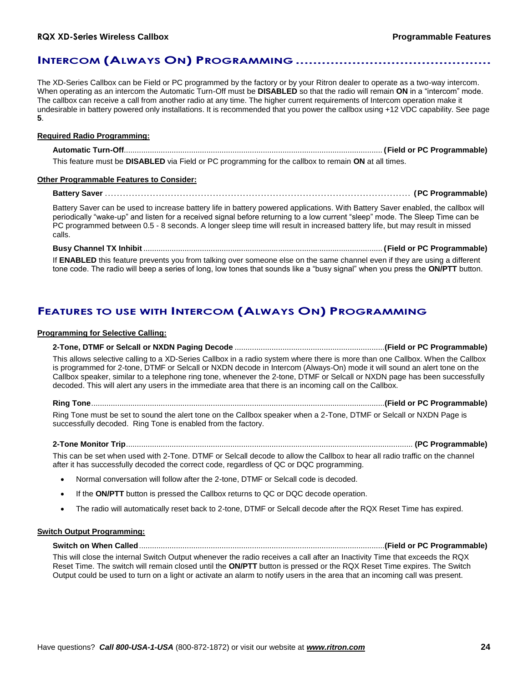### **INTERCOM (ALWAYS ON) PROGRAMMING .............................................**

The XD-Series Callbox can be Field or PC programmed by the factory or by your Ritron dealer to operate as a two-way intercom. When operating as an intercom the Automatic Turn-Off must be **DISABLED** so that the radio will remain **ON** in a "intercom" mode. The callbox can receive a call from another radio at any time. The higher current requirements of Intercom operation make it undesirable in battery powered only installations. It is recommended that you power the callbox using +12 VDC capability. See page **5**.

#### **Required Radio Programming:**

**Automatic Turn-Off**....................................................................................................................... **(Field or PC Programmable)** This feature must be **DISABLED** via Field or PC programming for the callbox to remain **ON** at all times.

**Other Programmable Features to Consider:**

**Battery Saver** ...................................................................................................... **(PC Programmable)**

Battery Saver can be used to increase battery life in battery powered applications. With Battery Saver enabled, the callbox will periodically "wake-up" and listen for a received signal before returning to a low current "sleep" mode. The Sleep Time can be PC programmed between 0.5 - 8 seconds. A longer sleep time will result in increased battery life, but may result in missed calls.

#### **Busy Channel TX Inhibit** .............................................................................................................. **(Field or PC Programmable)**

If **ENABLED** this feature prevents you from talking over someone else on the same channel even if they are using a different tone code. The radio will beep a series of long, low tones that sounds like a "busy signal" when you press the **ON/PTT** button.

### **FEATURES TO USE WITH INTERCOM (ALWAYS ON) PROGRAMMING**

### **Programming for Selective Calling:**

**2-Tone, DTMF or Selcall or NXDN Paging Decode** .....................................................................**(Field or PC Programmable)**

This allows selective calling to a XD-Series Callbox in a radio system where there is more than one Callbox. When the Callbox is programmed for 2-tone, DTMF or Selcall or NXDN decode in Intercom (Always-On) mode it will sound an alert tone on the Callbox speaker, similar to a telephone ring tone, whenever the 2-tone, DTMF or Selcall or NXDN page has been successfully decoded. This will alert any users in the immediate area that there is an incoming call on the Callbox.

**Ring Tone**.......................................................................................................................................**(Field or PC Programmable)** Ring Tone must be set to sound the alert tone on the Callbox speaker when a 2-Tone, DTMF or Selcall or NXDN Page is successfully decoded. Ring Tone is enabled from the factory.

**2-Tone Monitor Trip**.................................................................................................................................... **(PC Programmable)**

This can be set when used with 2-Tone. DTMF or Selcall decode to allow the Callbox to hear all radio traffic on the channel after it has successfully decoded the correct code, regardless of QC or DQC programming.

- Normal conversation will follow after the 2-tone, DTMF or Selcall code is decoded.
- If the **ON/PTT** button is pressed the Callbox returns to QC or DQC decode operation.
- The radio will automatically reset back to 2-tone, DTMF or Selcall decode after the RQX Reset Time has expired.

### **Switch Output Programming:**

**Switch on When Called**.................................................................................................................**(Field or PC Programmable)**

This will close the internal Switch Output whenever the radio receives a call after an Inactivity Time that exceeds the RQX Reset Time. The switch will remain closed until the **ON/PTT** button is pressed or the RQX Reset Time expires. The Switch Output could be used to turn on a light or activate an alarm to notify users in the area that an incoming call was present.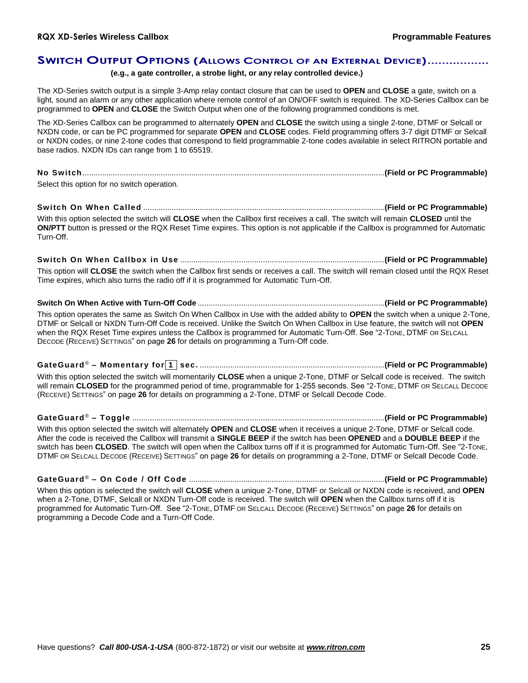### **SWITCH OUTPUT OPTIONS (ALLOWS CONTROL OF AN EXTERNAL DEVICE).................**

### **(e.g., a gate controller, a strobe light, or any relay controlled device.)**

The XD-Series switch output is a simple 3-Amp relay contact closure that can be used to **OPEN** and **CLOSE** a gate, switch on a light, sound an alarm or any other application where remote control of an ON/OFF switch is required. The XD-Series Callbox can be programmed to **OPEN** and **CLOSE** the Switch Output when one of the following programmed conditions is met.

The XD-Series Callbox can be programmed to alternately **OPEN** and **CLOSE** the switch using a single 2-tone, DTMF or Selcall or NXDN code, or can be PC programmed for separate **OPEN** and **CLOSE** codes. Field programming offers 3-7 digit DTMF or Selcall or NXDN codes, or nine 2-tone codes that correspond to field programmable 2-tone codes available in select RITRON portable and base radios. NXDN IDs can range from 1 to 65519.

# **No Switch**...........................................................................................................................................**(Field or PC Programmable)**

Select this option for no switch operation.

**Switch On When Called** ...............................................................................................................**(Field or PC Programmable)**

With this option selected the switch will **CLOSE** when the Callbox first receives a call. The switch will remain **CLOSED** until the **ON/PTT** button is pressed or the RQX Reset Time expires. This option is not applicable if the Callbox is programmed for Automatic Turn-Off.

# **Switch On When Callbox in Use** ..............................................................................................**(Field or PC Programmable)**

This option will **CLOSE** the switch when the Callbox first sends or receives a call. The switch will remain closed until the RQX Reset Time expires, which also turns the radio off if it is programmed for Automatic Turn-Off.

### **Switch On When Active with Turn-Off Code** ......................................................................................**(Field or PC Programmable)**

This option operates the same as Switch On When Callbox in Use with the added ability to **OPEN** the switch when a unique 2-Tone, DTMF or Selcall or NXDN Turn-Off Code is received. Unlike the Switch On When Callbox in Use feature, the switch will not **OPEN** when the RQX Reset Time expires unless the Callbox is programmed for Automatic Turn-Off. See "2-TONE, DTMF OR SELCALL DECODE (RECEIVE) SETTINGS" on page **26** for details on programming a Turn-Off code.

**GateGuard** ® **– Momentary for 1 sec.** .....................................................................................**(Field or PC Programmable)**

With this option selected the switch will momentarily **CLOSE** when a unique 2-Tone, DTMF or Selcall code is received. The switch will remain **CLOSED** for the programmed period of time, programmable for 1-255 seconds. See "2-TONE, DTMF OR SELCALL DECODE (RECEIVE) SETTINGS" on page **26** for details on programming a 2-Tone, DTMF or Selcall Decode Code.

### **GateGuard** ® **– Toggle** ....................................................................................................................**(Field or PC Programmable)**

With this option selected the switch will alternately **OPEN** and **CLOSE** when it receives a unique 2-Tone, DTMF or Selcall code. After the code is received the Callbox will transmit a **SINGLE BEEP** if the switch has been **OPENED** and a **DOUBLE BEEP** if the switch has been **CLOSED**. The switch will open when the Callbox turns off if it is programmed for Automatic Turn-Off. See "2-TONE, DTMF OR SELCALL DECODE (RECEIVE) SETTINGS" on page **26** for details on programming a 2-Tone, DTMF or Selcall Decode Code.

### **GateGuard** ® **– On Code / Off Code** ..........................................................................................**(Field or PC Programmable)**

When this option is selected the switch will **CLOSE** when a unique 2-Tone, DTMF or Selcall or NXDN code is received, and **OPEN** when a 2-Tone, DTMF, Selcall or NXDN Turn-Off code is received. The switch will **OPEN** when the Callbox turns off if it is programmed for Automatic Turn-Off. See "2-TONE, DTMF OR SELCALL DECODE (RECEIVE) SETTINGS" on page **26** for details on programming a Decode Code and a Turn-Off Code.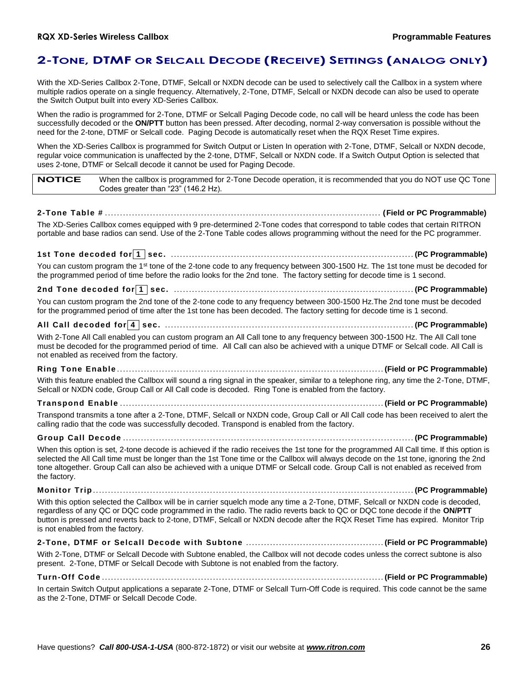# **2-TONE, DTMF OR SELCALL DECODE (RECEIVE) SETTINGS (ANALOG ONLY)**

With the XD-Series Callbox 2-Tone, DTMF, Selcall or NXDN decode can be used to selectively call the Callbox in a system where multiple radios operate on a single frequency. Alternatively, 2-Tone, DTMF, Selcall or NXDN decode can also be used to operate the Switch Output built into every XD-Series Callbox.

When the radio is programmed for 2-Tone, DTMF or Selcall Paging Decode code, no call will be heard unless the code has been successfully decoded or the **ON/PTT** button has been pressed. After decoding, normal 2-way conversation is possible without the need for the 2-tone, DTMF or Selcall code. Paging Decode is automatically reset when the RQX Reset Time expires.

When the XD-Series Callbox is programmed for Switch Output or Listen In operation with 2-Tone, DTMF, Selcall or NXDN decode, regular voice communication is unaffected by the 2-tone, DTMF, Selcall or NXDN code. If a Switch Output Option is selected that uses 2-tone, DTMF or Selcall decode it cannot be used for Paging Decode.

|  | <b>NOTICE</b> | When the callbox is programmed for 2-Tone Decode operation, it is recommended that you do NOT use QC Tone<br>Codes greater than "23" (146.2 Hz). |
|--|---------------|--------------------------------------------------------------------------------------------------------------------------------------------------|
|--|---------------|--------------------------------------------------------------------------------------------------------------------------------------------------|

**2-Tone Table #** ............................................................................................ **(Field or PC Programmable)** The XD-Series Callbox comes equipped with 9 pre-determined 2-Tone codes that correspond to table codes that certain RITRON portable and base radios can send. Use of the 2-Tone Table codes allows programming without the need for the PC programmer.

**1st Tone decoded for 1 sec.** ................................................................................. **(PC Programmable)**

You can custom program the 1<sup>st</sup> tone of the 2-tone code to any frequency between 300-1500 Hz. The 1st tone must be decoded for the programmed period of time before the radio looks for the 2nd tone. The factory setting for decode time is 1 second.

### **2nd Tone decoded for 1 sec.** ................................................................................ **(PC Programmable)**

You can custom program the 2nd tone of the 2-tone code to any frequency between 300-1500 Hz.The 2nd tone must be decoded for the programmed period of time after the 1st tone has been decoded. The factory setting for decode time is 1 second.

### **All Call decoded for 4 sec.** ................................................................................... **(PC Programmable)**

With 2-Tone All Call enabled you can custom program an All Call tone to any frequency between 300-1500 Hz. The All Call tone must be decoded for the programmed period of time. All Call can also be achieved with a unique DTMF or Selcall code. All Call is not enabled as received from the factory.

**Ring Tone Enable** ......................................................................................... **(Field or PC Programmable)** With this feature enabled the Callbox will sound a ring signal in the speaker, similar to a telephone ring, any time the 2-Tone, DTMF, Selcall or NXDN code, Group Call or All Call code is decoded. Ring Tone is enabled from the factory.

**Transpond Enable** ........................................................................................ **(Field or PC Programmable)** Transpond transmits a tone after a 2-Tone, DTMF, Selcall or NXDN code, Group Call or All Call code has been received to alert the calling radio that the code was successfully decoded. Transpond is enabled from the factory.

# **Group Call Decode** ................................................................................................. **(PC Programmable)**

When this option is set, 2-tone decode is achieved if the radio receives the 1st tone for the programmed All Call time. If this option is selected the All Call time must be longer than the 1st Tone time or the Callbox will always decode on the 1st tone, ignoring the 2nd tone altogether. Group Call can also be achieved with a unique DTMF or Selcall code. Group Call is not enabled as received from the factory.

**Monitor Trip** ........................................................................................................... **(PC Programmable)**

With this option selected the Callbox will be in carrier squelch mode any time a 2-Tone, DTMF, Selcall or NXDN code is decoded, regardless of any QC or DQC code programmed in the radio. The radio reverts back to QC or DQC tone decode if the **ON/PTT** button is pressed and reverts back to 2-tone, DTMF, Selcall or NXDN decode after the RQX Reset Time has expired. Monitor Trip is not enabled from the factory.

**2-Tone, DTMF or Selcall Decode with Subtone** .............................................. **(Field or PC Programmable)** With 2-Tone, DTMF or Selcall Decode with Subtone enabled, the Callbox will not decode codes unless the correct subtone is also present. 2-Tone, DTMF or Selcall Decode with Subtone is not enabled from the factory.

**Turn-Off Code** .............................................................................................. **(Field or PC Programmable)**

In certain Switch Output applications a separate 2-Tone, DTMF or Selcall Turn-Off Code is required. This code cannot be the same as the 2-Tone, DTMF or Selcall Decode Code.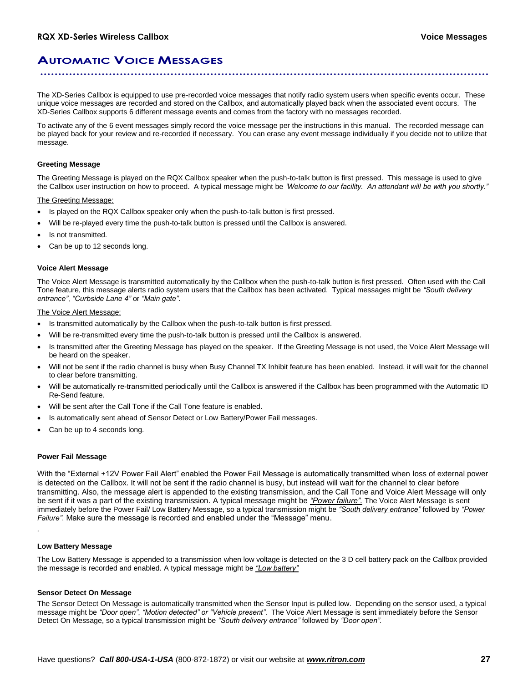## **AUTOMATIC VOICE MESSAGES ............................................................................................................................**

The XD-Series Callbox is equipped to use pre-recorded voice messages that notify radio system users when specific events occur. These unique voice messages are recorded and stored on the Callbox, and automatically played back when the associated event occurs. The XD-Series Callbox supports 6 different message events and comes from the factory with no messages recorded.

To activate any of the 6 event messages simply record the voice message per the instructions in this manual. The recorded message can be played back for your review and re-recorded if necessary. You can erase any event message individually if you decide not to utilize that message.

#### **Greeting Message**

The Greeting Message is played on the RQX Callbox speaker when the push-to-talk button is first pressed. This message is used to give the Callbox user instruction on how to proceed. A typical message might be *'Welcome to our facility. An attendant will be with you shortly."*

The Greeting Message:

- Is played on the RQX Callbox speaker only when the push-to-talk button is first pressed.
- Will be re-played every time the push-to-talk button is pressed until the Callbox is answered.
- Is not transmitted.
- Can be up to 12 seconds long.

#### **Voice Alert Message**

The Voice Alert Message is transmitted automatically by the Callbox when the push-to-talk button is first pressed. Often used with the Call Tone feature, this message alerts radio system users that the Callbox has been activated. Typical messages might be *"South delivery entrance"*, *"Curbside Lane 4"* or *"Main gate"*.

The Voice Alert Message:

- Is transmitted automatically by the Callbox when the push-to-talk button is first pressed.
- Will be re-transmitted every time the push-to-talk button is pressed until the Callbox is answered.
- Is transmitted after the Greeting Message has played on the speaker. If the Greeting Message is not used, the Voice Alert Message will be heard on the speaker.
- Will not be sent if the radio channel is busy when Busy Channel TX Inhibit feature has been enabled. Instead, it will wait for the channel to clear before transmitting.
- Will be automatically re-transmitted periodically until the Callbox is answered if the Callbox has been programmed with the Automatic ID Re-Send feature.
- Will be sent after the Call Tone if the Call Tone feature is enabled.
- Is automatically sent ahead of Sensor Detect or Low Battery/Power Fail messages.
- Can be up to 4 seconds long.

#### **Power Fail Message**

With the "External +12V Power Fail Alert" enabled the Power Fail Message is automatically transmitted when loss of external power is detected on the Callbox. It will not be sent if the radio channel is busy, but instead will wait for the channel to clear before transmitting. Also, the message alert is appended to the existing transmission, and the Call Tone and Voice Alert Message will only be sent if it was a part of the existing transmission. A typical message might be *"Power failure".* The Voice Alert Message is sent immediately before the Power Fail/ Low Battery Message, so a typical transmission might be *"South delivery entrance"* followed by *"Power Failure"*. Make sure the message is recorded and enabled under the "Message" menu.

.

#### **Low Battery Message**

The Low Battery Message is appended to a transmission when low voltage is detected on the 3 D cell battery pack on the Callbox provided the message is recorded and enabled. A typical message might be *"Low battery"*

#### **Sensor Detect On Message**

The Sensor Detect On Message is automatically transmitted when the Sensor Input is pulled low. Depending on the sensor used, a typical message might be *"Door open"*, *"Motion detected" or "Vehicle present"*. The Voice Alert Message is sent immediately before the Sensor Detect On Message, so a typical transmission might be *"South delivery entrance"* followed by *"Door open"*.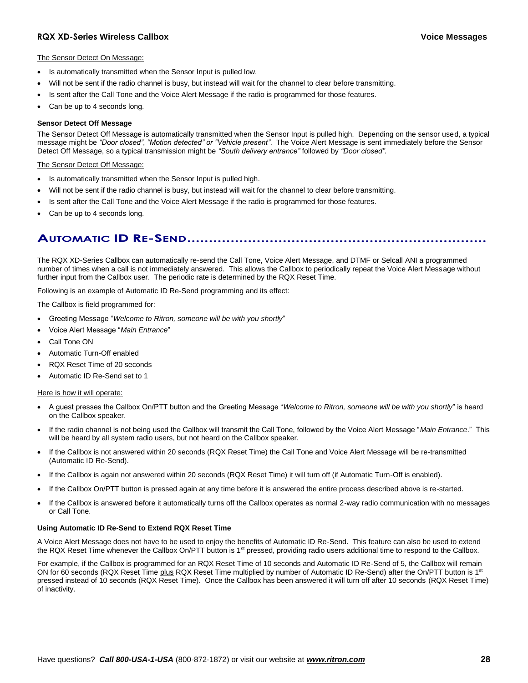### **RQX XD-Series Wireless Callbox Voice Messages**

#### The Sensor Detect On Message:

- Is automatically transmitted when the Sensor Input is pulled low.
- Will not be sent if the radio channel is busy, but instead will wait for the channel to clear before transmitting.
- Is sent after the Call Tone and the Voice Alert Message if the radio is programmed for those features.
- Can be up to 4 seconds long.

#### **Sensor Detect Off Message**

The Sensor Detect Off Message is automatically transmitted when the Sensor Input is pulled high. Depending on the sensor used, a typical message might be *"Door closed"*, *"Motion detected" or "Vehicle present"*. The Voice Alert Message is sent immediately before the Sensor Detect Off Message, so a typical transmission might be *"South delivery entrance"* followed by *"Door closed"*.

#### The Sensor Detect Off Message:

- Is automatically transmitted when the Sensor Input is pulled high.
- Will not be sent if the radio channel is busy, but instead will wait for the channel to clear before transmitting.
- Is sent after the Call Tone and the Voice Alert Message if the radio is programmed for those features.
- Can be up to 4 seconds long.

# **AUTOMATIC ID RE-SEND.....................................................................**

The RQX XD-Series Callbox can automatically re-send the Call Tone, Voice Alert Message, and DTMF or Selcall ANI a programmed number of times when a call is not immediately answered. This allows the Callbox to periodically repeat the Voice Alert Message without further input from the Callbox user. The periodic rate is determined by the RQX Reset Time.

Following is an example of Automatic ID Re-Send programming and its effect:

#### The Callbox is field programmed for:

- Greeting Message "*Welcome to Ritron, someone will be with you shortly*"
- Voice Alert Message "*Main Entrance*"
- Call Tone ON
- Automatic Turn-Off enabled
- RQX Reset Time of 20 seconds
- Automatic ID Re-Send set to 1

#### Here is how it will operate:

- A guest presses the Callbox On/PTT button and the Greeting Message "*Welcome to Ritron, someone will be with you shortly*" is heard on the Callbox speaker.
- If the radio channel is not being used the Callbox will transmit the Call Tone, followed by the Voice Alert Message "*Main Entrance*." This will be heard by all system radio users, but not heard on the Callbox speaker.
- If the Callbox is not answered within 20 seconds (RQX Reset Time) the Call Tone and Voice Alert Message will be re-transmitted (Automatic ID Re-Send).
- If the Callbox is again not answered within 20 seconds (RQX Reset Time) it will turn off (if Automatic Turn-Off is enabled).
- If the Callbox On/PTT button is pressed again at any time before it is answered the entire process described above is re-started.
- If the Callbox is answered before it automatically turns off the Callbox operates as normal 2-way radio communication with no messages or Call Tone.

#### **Using Automatic ID Re-Send to Extend RQX Reset Time**

A Voice Alert Message does not have to be used to enjoy the benefits of Automatic ID Re-Send. This feature can also be used to extend the RQX Reset Time whenever the Callbox On/PTT button is 1<sup>st</sup> pressed, providing radio users additional time to respond to the Callbox.

For example, if the Callbox is programmed for an RQX Reset Time of 10 seconds and Automatic ID Re-Send of 5, the Callbox will remain ON for 60 seconds (RQX Reset Time plus RQX Reset Time multiplied by number of Automatic ID Re-Send) after the On/PTT button is 1<sup>st</sup> pressed instead of 10 seconds (RQX Reset Time). Once the Callbox has been answered it will turn off after 10 seconds (RQX Reset Time) of inactivity.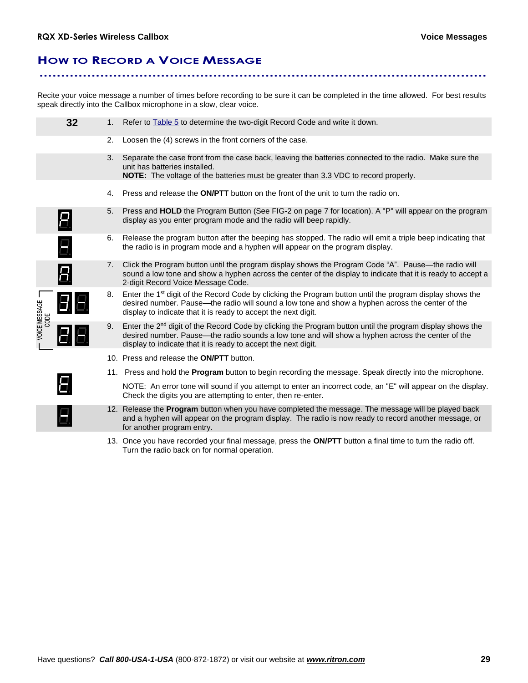# **HOW TO RECORD A VOICE MESSAGE**

Recite your voice message a number of times before recording to be sure it can be completed in the time allowed. For best results speak directly into the Callbox microphone in a slow, clear voice.

**.......................................................................................................**

|                       | 32 | 1. | Refer to <b>Table 5</b> to determine the two-digit Record Code and write it down.                                                                                                                                                                                                            |
|-----------------------|----|----|----------------------------------------------------------------------------------------------------------------------------------------------------------------------------------------------------------------------------------------------------------------------------------------------|
|                       |    | 2. | Loosen the (4) screws in the front corners of the case.                                                                                                                                                                                                                                      |
|                       |    | 3. | Separate the case front from the case back, leaving the batteries connected to the radio. Make sure the<br>unit has batteries installed.<br>NOTE: The voltage of the batteries must be greater than 3.3 VDC to record properly.                                                              |
|                       |    | 4. | Press and release the <b>ON/PTT</b> button on the front of the unit to turn the radio on.                                                                                                                                                                                                    |
|                       |    | 5. | Press and HOLD the Program Button (See FIG-2 on page 7 for location). A "P" will appear on the program<br>display as you enter program mode and the radio will beep rapidly.                                                                                                                 |
|                       | Ξ. | 6. | Release the program button after the beeping has stopped. The radio will emit a triple beep indicating that<br>the radio is in program mode and a hyphen will appear on the program display.                                                                                                 |
|                       |    | 7. | Click the Program button until the program display shows the Program Code "A". Pause—the radio will<br>sound a low tone and show a hyphen across the center of the display to indicate that it is ready to accept a<br>2-digit Record Voice Message Code.                                    |
| VOICE MESSAGE<br>CODE | 88 | 8. | Enter the 1 <sup>st</sup> digit of the Record Code by clicking the Program button until the program display shows the<br>desired number. Pause—the radio will sound a low tone and show a hyphen across the center of the<br>display to indicate that it is ready to accept the next digit.  |
|                       |    | 9. | Enter the 2 <sup>nd</sup> digit of the Record Code by clicking the Program button until the program display shows the<br>desired number. Pause—the radio sounds a low tone and will show a hyphen across the center of the<br>display to indicate that it is ready to accept the next digit. |
|                       |    |    | 10. Press and release the <b>ON/PTT</b> button.                                                                                                                                                                                                                                              |
|                       |    |    | 11. Press and hold the <b>Program</b> button to begin recording the message. Speak directly into the microphone.                                                                                                                                                                             |
|                       |    |    | NOTE: An error tone will sound if you attempt to enter an incorrect code, an "E" will appear on the display.<br>Check the digits you are attempting to enter, then re-enter.                                                                                                                 |
|                       |    |    | 12. Release the Program button when you have completed the message. The message will be played back<br>and a hyphen will appear on the program display. The radio is now ready to record another message, or<br>for another program entry.                                                   |
|                       |    |    |                                                                                                                                                                                                                                                                                              |

13. Once you have recorded your final message, press the **ON/PTT** button a final time to turn the radio off. Turn the radio back on for normal operation.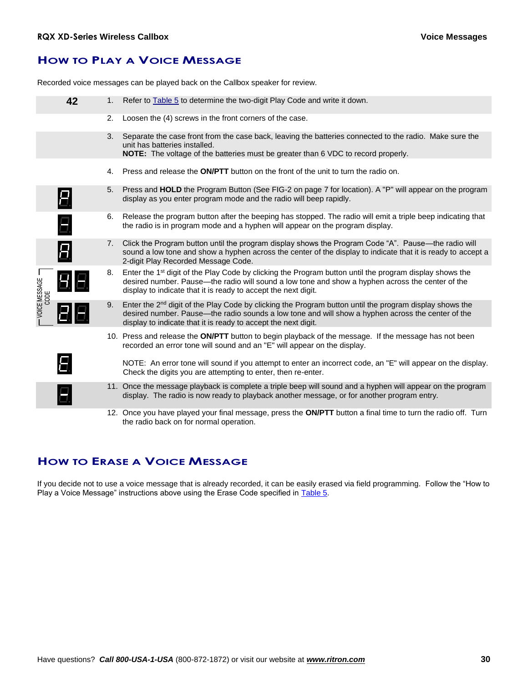# **HOW TO PLAY A VOICE MESSAGE**

Recorded voice messages can be played back on the Callbox speaker for review.

|                           | 42             | 1.             | Refer to <b>Table 5</b> to determine the two-digit Play Code and write it down.                                                                                                                                                                                                            |
|---------------------------|----------------|----------------|--------------------------------------------------------------------------------------------------------------------------------------------------------------------------------------------------------------------------------------------------------------------------------------------|
|                           |                | 2.             | Loosen the (4) screws in the front corners of the case.                                                                                                                                                                                                                                    |
|                           |                | 3.             | Separate the case front from the case back, leaving the batteries connected to the radio. Make sure the<br>unit has batteries installed.<br><b>NOTE:</b> The voltage of the batteries must be greater than 6 VDC to record properly.                                                       |
|                           |                | 4.             | Press and release the <b>ON/PTT</b> button on the front of the unit to turn the radio on.                                                                                                                                                                                                  |
|                           | Ε.             | 5.             | Press and HOLD the Program Button (See FIG-2 on page 7 for location). A "P" will appear on the program<br>display as you enter program mode and the radio will beep rapidly.                                                                                                               |
|                           | 8.             | 6.             | Release the program button after the beeping has stopped. The radio will emit a triple beep indicating that<br>the radio is in program mode and a hyphen will appear on the program display.                                                                                               |
|                           | $\overline{H}$ | 7 <sub>1</sub> | Click the Program button until the program display shows the Program Code "A". Pause—the radio will<br>sound a low tone and show a hyphen across the center of the display to indicate that it is ready to accept a<br>2-digit Play Recorded Message Code.                                 |
| - VOICE MESSAGE -<br>CODE |                | 8.             | Enter the 1 <sup>st</sup> digit of the Play Code by clicking the Program button until the program display shows the<br>desired number. Pause—the radio will sound a low tone and show a hyphen across the center of the<br>display to indicate that it is ready to accept the next digit.  |
|                           |                | 9.             | Enter the 2 <sup>nd</sup> digit of the Play Code by clicking the Program button until the program display shows the<br>desired number. Pause—the radio sounds a low tone and will show a hyphen across the center of the<br>display to indicate that it is ready to accept the next digit. |
|                           |                |                | 10. Press and release the ON/PTT button to begin playback of the message. If the message has not been<br>recorded an error tone will sound and an "E" will appear on the display.                                                                                                          |
|                           |                |                | NOTE: An error tone will sound if you attempt to enter an incorrect code, an "E" will appear on the display.<br>Check the digits you are attempting to enter, then re-enter.                                                                                                               |
|                           |                |                | 11. Once the message playback is complete a triple beep will sound and a hyphen will appear on the program<br>display. The radio is now ready to playback another message, or for another program entry.                                                                                   |
|                           |                |                | 12. Once you have played your final message, press the ON/PTT button a final time to turn the radio off. Turn<br>the radio back on for normal operation.                                                                                                                                   |

# **HOW TO ERASE A VOICE MESSAGE**

If you decide not to use a voice message that is already recorded, it can be easily erased via field programming. Follow the "How to Play a Voice Message" instructions above using the Erase Code specified in Table 5.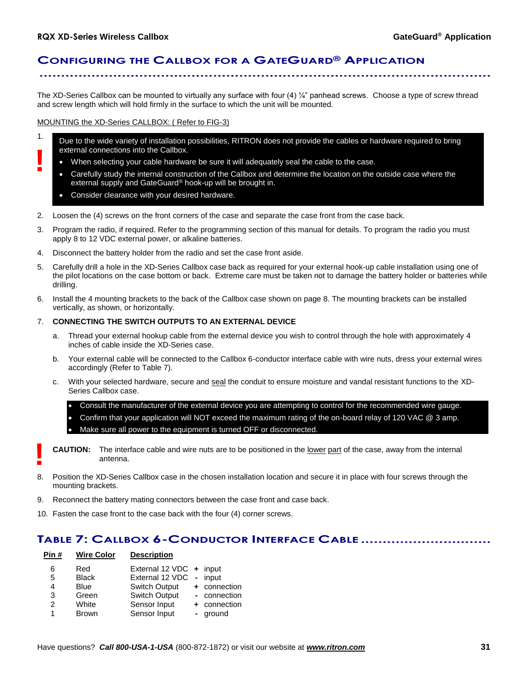1.

**!**

# **CONFIGURING THE CALLBOX FOR A GATEGUARD® APPLICATION ........................................................................................................**

The XD-Series Callbox can be mounted to virtually any surface with four  $(4)$   $\frac{1}{4}$ " panhead screws. Choose a type of screw thread and screw length which will hold firmly in the surface to which the unit will be mounted.

MOUNTING the XD-Series CALLBOX: ( Refer to FIG-3)

- Due to the wide variety of installation possibilities, RITRON does not provide the cables or hardware required to bring external connections into the Callbox.
	- When selecting your cable hardware be sure it will adequately seal the cable to the case.
	- Carefully study the internal construction of the Callbox and determine the location on the outside case where the external supply and GateGuard® hook-up will be brought in.
	- Consider clearance with your desired hardware.
- 2. Loosen the (4) screws on the front corners of the case and separate the case front from the case back.
- 3. Program the radio, if required. Refer to the programming section of this manual for details. To program the radio you must apply 8 to 12 VDC external power, or alkaline batteries.
- 4. Disconnect the battery holder from the radio and set the case front aside.
- 5. Carefully drill a hole in the XD-Series Callbox case back as required for your external hook-up cable installation using one of the pilot locations on the case bottom or back. Extreme care must be taken not to damage the battery holder or batteries while drilling.
- 6. Install the 4 mounting brackets to the back of the Callbox case shown on page 8. The mounting brackets can be installed vertically, as shown, or horizontally.

### 7. **CONNECTING THE SWITCH OUTPUTS TO AN EXTERNAL DEVICE**

- a. Thread your external hookup cable from the external device you wish to control through the hole with approximately 4 inches of cable inside the XD-Series case.
- b. Your external cable will be connected to the Callbox 6-conductor interface cable with wire nuts, dress your external wires accordingly (Refer to Table 7).
- c. With your selected hardware, secure and seal the conduit to ensure moisture and vandal resistant functions to the XD-Series Callbox case.

 Consult the manufacturer of the external device you are attempting to control for the recommended wire gauge. Confirm that your application will NOT exceed the maximum rating of the on-board relay of 120 VAC @ 3 amp. Make sure all power to the equipment is turned OFF or disconnected.

- **CAUTION:** The interface cable and wire nuts are to be positioned in the lower part of the case, away from the internal antenna. **!**
- 8. Position the XD-Series Callbox case in the chosen installation location and secure it in place with four screws through the mounting brackets.
- 9. Reconnect the battery mating connectors between the case front and case back.
- 10. Fasten the case front to the case back with the four (4) corner screws.

### **TABLE 7: CALLBOX 6-CONDUCTOR INTERFACE CABLE ..............................**

| Pin # | <b>Wire Color</b> | <b>Description</b>      |              |
|-------|-------------------|-------------------------|--------------|
| 6     | Red               | External 12 VDC + input |              |
| 5     | <b>Black</b>      | External 12 VDC         | - input      |
| 4     | <b>Blue</b>       | Switch Output           | + connection |
| 3     | Green             | <b>Switch Output</b>    | - connection |
| 2     | White             | Sensor Input            | + connection |
| 1     | <b>Brown</b>      | Sensor Input            | - ground     |
|       |                   |                         |              |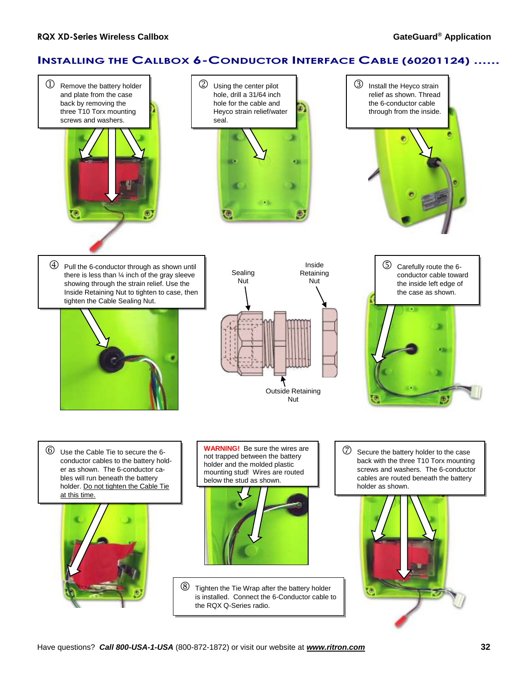# **INSTALLING THE CALLBOX 6-CONDUCTOR INTERFACE CABLE (60201124) ......**

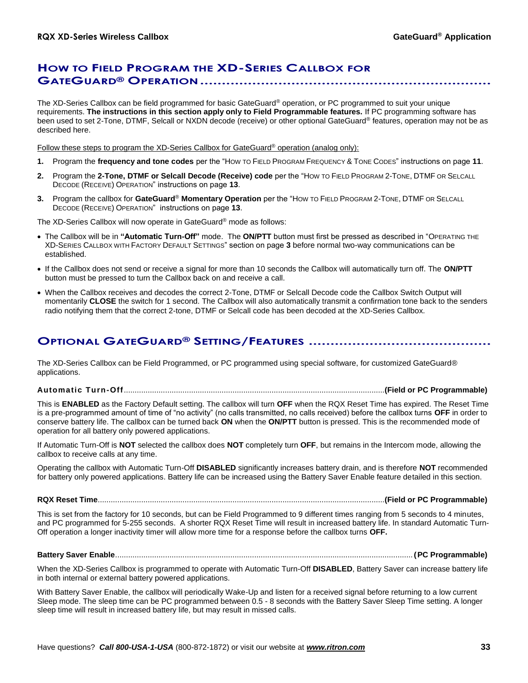## **HOW TO FIELD PROGRAM THE XD-SERIES CALLBOX FOR GATEGUARD® OPERATION...................................................................**

The XD-Series Callbox can be field programmed for basic GateGuard® operation, or PC programmed to suit your unique requirements. **The instructions in this section apply only to Field Programmable features.** If PC programming software has been used to set 2-Tone, DTMF, Selcall or NXDN decode (receive) or other optional GateGuard® features, operation may not be as described here.

Follow these steps to program the XD-Series Callbox for GateGuard<sup>®</sup> operation (analog only):

- **1.** Program the **frequency and tone codes** per the "HOW TO FIELD PROGRAM FREQUENCY & TONE CODES" instructions on page **11**.
- **2.** Program the **2-Tone, DTMF or Selcall Decode (Receive) code** per the "HOW TO FIELD PROGRAM 2-TONE, DTMF OR SELCALL DECODE (RECEIVE) OPERATION" instructions on page **13**.
- **3.** Program the callbox for **GateGuard**® **Momentary Operation** per the "HOW TO FIELD PROGRAM 2-TONE, DTMF OR SELCALL DECODE (RECEIVE) OPERATION" instructions on page **13**.

The XD-Series Callbox will now operate in GateGuard® mode as follows:

- The Callbox will be in **"Automatic Turn-Off"** mode. The **ON/PTT** button must first be pressed as described in "OPERATING THE XD-SERIES CALLBOX WITH FACTORY DEFAULT SETTINGS" section on page **3** before normal two-way communications can be established.
- If the Callbox does not send or receive a signal for more than 10 seconds the Callbox will automatically turn off. The **ON/PTT** button must be pressed to turn the Callbox back on and receive a call.
- When the Callbox receives and decodes the correct 2-Tone, DTMF or Selcall Decode code the Callbox Switch Output will momentarily **CLOSE** the switch for 1 second. The Callbox will also automatically transmit a confirmation tone back to the senders radio notifying them that the correct 2-tone, DTMF or Selcall code has been decoded at the XD-Series Callbox.

# **OPTIONAL GATEGUARD® SETTING/FEATURES ..........................................**

The XD-Series Callbox can be Field Programmed, or PC programmed using special software, for customized GateGuard® applications.

**Automatic Turn-Off**........................................................................................................................**(Field or PC Programmable)**

This is **ENABLED** as the Factory Default setting. The callbox will turn **OFF** when the RQX Reset Time has expired. The Reset Time is a pre-programmed amount of time of "no activity" (no calls transmitted, no calls received) before the callbox turns **OFF** in order to conserve battery life. The callbox can be turned back **ON** when the **ON/PTT** button is pressed. This is the recommended mode of operation for all battery only powered applications.

If Automatic Turn-Off is **NOT** selected the callbox does **NOT** completely turn **OFF**, but remains in the Intercom mode, allowing the callbox to receive calls at any time.

Operating the callbox with Automatic Turn-Off **DISABLED** significantly increases battery drain, and is therefore **NOT** recommended for battery only powered applications. Battery life can be increased using the Battery Saver Enable feature detailed in this section.

### **RQX Reset Time**....................................................................................................................................**(Field or PC Programmable)**

This is set from the factory for 10 seconds, but can be Field Programmed to 9 different times ranging from 5 seconds to 4 minutes, and PC programmed for 5-255 seconds. A shorter RQX Reset Time will result in increased battery life. In standard Automatic Turn-Off operation a longer inactivity timer will allow more time for a response before the callbox turns **OFF.**

### **Battery Saver Enable**.........................................................................................................................................**(PC Programmable)**

When the XD-Series Callbox is programmed to operate with Automatic Turn-Off **DISABLED**, Battery Saver can increase battery life in both internal or external battery powered applications.

With Battery Saver Enable, the callbox will periodically Wake-Up and listen for a received signal before returning to a low current Sleep mode. The sleep time can be PC programmed between 0.5 - 8 seconds with the Battery Saver Sleep Time setting. A longer sleep time will result in increased battery life, but may result in missed calls.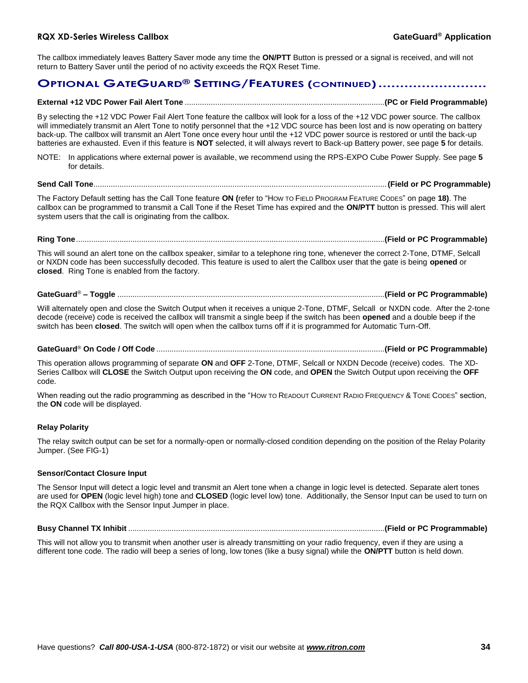The callbox immediately leaves Battery Saver mode any time the **ON/PTT** Button is pressed or a signal is received, and will not return to Battery Saver until the period of no activity exceeds the RQX Reset Time.

### **OPTIONAL GATEGUARD® SETTING/FEATURES (CONTINUED).........................**

### **External +12 VDC Power Fail Alert Tone** ............................................................................................**(PC or Field Programmable)**

By selecting the +12 VDC Power Fail Alert Tone feature the callbox will look for a loss of the +12 VDC power source. The callbox will immediately transmit an Alert Tone to notify personnel that the +12 VDC source has been lost and is now operating on battery back-up. The callbox will transmit an Alert Tone once every hour until the +12 VDC power source is restored or until the back-up batteries are exhausted. Even if this feature is **NOT** selected, it will always revert to Back-up Battery power, see page **5** for details.

NOTE: In applications where external power is available, we recommend using the RPS-EXPO Cube Power Supply. See page **5** for details.

### **Send Call Tone**.......................................................................................................................................**(Field or PC Programmable)**

The Factory Default setting has the Call Tone feature **ON (**refer to "HOW TO FIELD PROGRAM FEATURE CODES" on page **18)**. The callbox can be programmed to transmit a Call Tone if the Reset Time has expired and the **ON/PTT** button is pressed. This will alert system users that the call is originating from the callbox.

### **Ring Tone**..............................................................................................................................................**(Field or PC Programmable)**

This will sound an alert tone on the callbox speaker, similar to a telephone ring tone, whenever the correct 2-Tone, DTMF, Selcall or NXDN code has been successfully decoded. This feature is used to alert the Callbox user that the gate is being **opened** or **closed**. Ring Tone is enabled from the factory.

### **GateGuard**® **– Toggle** ...........................................................................................................................**(Field or PC Programmable)**

Will alternately open and close the Switch Output when it receives a unique 2-Tone, DTMF, Selcall or NXDN code. After the 2-tone decode (receive) code is received the callbox will transmit a single beep if the switch has been **opened** and a double beep if the switch has been **closed**. The switch will open when the callbox turns off if it is programmed for Automatic Turn-Off.

### **GateGuard**® **On Code / Off Code** .........................................................................................................**(Field or PC Programmable)**

This operation allows programming of separate **ON** and **OFF** 2-Tone, DTMF, Selcall or NXDN Decode (receive) codes. The XD-Series Callbox will **CLOSE** the Switch Output upon receiving the **ON** code, and **OPEN** the Switch Output upon receiving the **OFF** code.

When reading out the radio programming as described in the "How To READOUT CURRENT RADIO FREQUENCY & TONE CODES" section, the **ON** code will be displayed.

### **Relay Polarity**

The relay switch output can be set for a normally-open or normally-closed condition depending on the position of the Relay Polarity Jumper. (See FIG-1)

### **Sensor/Contact Closure Input**

The Sensor Input will detect a logic level and transmit an Alert tone when a change in logic level is detected. Separate alert tones are used for **OPEN** (logic level high) tone and **CLOSED** (logic level low) tone. Additionally, the Sensor Input can be used to turn on the RQX Callbox with the Sensor Input Jumper in place.

### **Busy Channel TX Inhibit** ......................................................................................................................**(Field or PC Programmable)**

This will not allow you to transmit when another user is already transmitting on your radio frequency, even if they are using a different tone code. The radio will beep a series of long, low tones (like a busy signal) while the **ON/PTT** button is held down.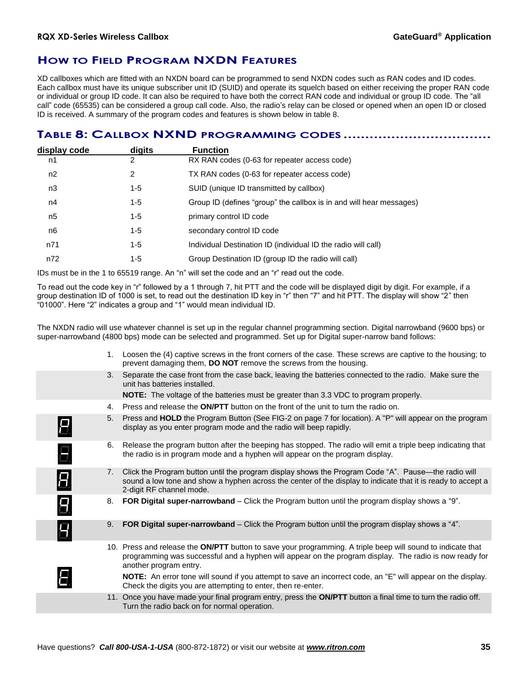# **HOW TO FIELD PROGRAM NXDN FEATURES**

XD callboxes which are fitted with an NXDN board can be programmed to send NXDN codes such as RAN codes and ID codes. Each callbox must have its unique subscriber unit ID (SUID) and operate its squelch based on either receiving the proper RAN code or individual or group ID code. It can also be required to have both the correct RAN code and individual or group ID code. The "all call" code (65535) can be considered a group call code. Also, the radio's relay can be closed or opened when an open ID or closed ID is received. A summary of the program codes and features is shown below in table 8.

# **TABLE 8: CALLBOX NXND PROGRAMMING CODES ..................................**

| display code   | digits  | <b>Function</b>                                                     |
|----------------|---------|---------------------------------------------------------------------|
| n1             | 2       | RX RAN codes (0-63 for repeater access code)                        |
| n2             | 2       | TX RAN codes (0-63 for repeater access code)                        |
| n3             | $1 - 5$ | SUID (unique ID transmitted by callbox)                             |
| n4             | 1-5     | Group ID (defines "group" the callbox is in and will hear messages) |
| n <sub>5</sub> | 1-5     | primary control ID code                                             |
| n <sub>6</sub> | $1 - 5$ | secondary control ID code                                           |
| n71            | 1-5     | Individual Destination ID (individual ID the radio will call)       |
| n72            | 1-5     | Group Destination ID (group ID the radio will call)                 |
|                |         |                                                                     |

IDs must be in the 1 to 65519 range. An "n" will set the code and an "r" read out the code.

To read out the code key in "r" followed by a 1 through 7, hit PTT and the code will be displayed digit by digit. For example, if a group destination ID of 1000 is set, to read out the destination ID key in "r" then "7" and hit PTT. The display will show "2" then "01000". Here "2" indicates a group and "1" would mean individual ID.

The NXDN radio will use whatever channel is set up in the regular channel programming section. Digital narrowband (9600 bps) or super-narrowband (4800 bps) mode can be selected and programmed. Set up for Digital super-narrow band follows:

|                     | 1.             | Loosen the (4) captive screws in the front corners of the case. These screws are captive to the housing; to<br>prevent damaging them, DO NOT remove the screws from the housing.                                                                |
|---------------------|----------------|-------------------------------------------------------------------------------------------------------------------------------------------------------------------------------------------------------------------------------------------------|
|                     | 3.             | Separate the case front from the case back, leaving the batteries connected to the radio. Make sure the<br>unit has batteries installed.                                                                                                        |
|                     |                | <b>NOTE:</b> The voltage of the batteries must be greater than 3.3 VDC to program properly.                                                                                                                                                     |
|                     | $4_{\cdot}$    | Press and release the <b>ON/PTT</b> button on the front of the unit to turn the radio on.                                                                                                                                                       |
| Н                   | 5.             | Press and HOLD the Program Button (See FIG-2 on page 7 for location). A "P" will appear on the program<br>display as you enter program mode and the radio will beep rapidly.                                                                    |
| Ξ.                  | 6.             | Release the program button after the beeping has stopped. The radio will emit a triple beep indicating that<br>the radio is in program mode and a hyphen will appear on the program display.                                                    |
| $\overline{\bm{B}}$ | 7 <sub>1</sub> | Click the Program button until the program display shows the Program Code "A". Pause—the radio will<br>sound a low tone and show a hyphen across the center of the display to indicate that it is ready to accept a<br>2-digit RF channel mode. |
| $\overline{B}$      | 8.             | FOR Digital super-narrowband – Click the Program button until the program display shows a "9".                                                                                                                                                  |
| 8                   | 9.             | FOR Digital super-narrowband – Click the Program button until the program display shows a "4".                                                                                                                                                  |
|                     |                | 10. Press and release the ON/PTT button to save your programming. A triple beep will sound to indicate that<br>programming was successful and a hyphen will appear on the program display. The radio is now ready for<br>another program entry. |
|                     |                | <b>NOTE:</b> An error tone will sound if you attempt to save an incorrect code, an "E" will appear on the display.<br>Check the digits you are attempting to enter, then re-enter.                                                              |
|                     |                | 11. Once you have made your final program entry, press the ON/PTT button a final time to turn the radio off.<br>Turn the radio back on for normal operation.                                                                                    |
|                     |                |                                                                                                                                                                                                                                                 |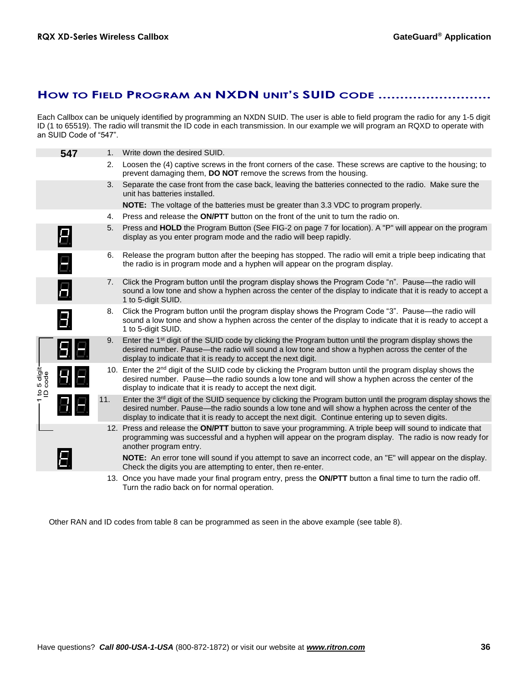# **HOW TO FIELD PROGRAM AN NXDN UNIT'S SUID CODE ..........................**

Each Callbox can be uniquely identified by programming an NXDN SUID. The user is able to field program the radio for any 1-5 digit ID (1 to 65519). The radio will transmit the ID code in each transmission. In our example we will program an RQXD to operate with an SUID Code of "547".

|                          | 547                     | $1_{-}$        | Write down the desired SUID.                                                                                                                                                                                                                                                                                               |
|--------------------------|-------------------------|----------------|----------------------------------------------------------------------------------------------------------------------------------------------------------------------------------------------------------------------------------------------------------------------------------------------------------------------------|
|                          |                         | 2.             | Loosen the (4) captive screws in the front corners of the case. These screws are captive to the housing; to<br>prevent damaging them, DO NOT remove the screws from the housing.                                                                                                                                           |
|                          |                         | 3.             | Separate the case front from the case back, leaving the batteries connected to the radio. Make sure the<br>unit has batteries installed.                                                                                                                                                                                   |
|                          |                         |                | <b>NOTE:</b> The voltage of the batteries must be greater than 3.3 VDC to program properly.                                                                                                                                                                                                                                |
|                          |                         | 4.             | Press and release the <b>ON/PTT</b> button on the front of the unit to turn the radio on.                                                                                                                                                                                                                                  |
|                          | Е.                      | 5.             | Press and HOLD the Program Button (See FIG-2 on page 7 for location). A "P" will appear on the program<br>display as you enter program mode and the radio will beep rapidly.                                                                                                                                               |
|                          | Ξ.                      | 6.             | Release the program button after the beeping has stopped. The radio will emit a triple beep indicating that<br>the radio is in program mode and a hyphen will appear on the program display.                                                                                                                               |
|                          | 8                       | 7 <sub>1</sub> | Click the Program button until the program display shows the Program Code "n". Pause—the radio will<br>sound a low tone and show a hyphen across the center of the display to indicate that it is ready to accept a<br>1 to 5-digit SUID.                                                                                  |
|                          | $\overline{\mathbf{B}}$ | 8.             | Click the Program button until the program display shows the Program Code "3". Pause—the radio will<br>sound a low tone and show a hyphen across the center of the display to indicate that it is ready to accept a<br>1 to 5-digit SUID.                                                                                  |
|                          | 98                      | 9.             | Enter the 1 <sup>st</sup> digit of the SUID code by clicking the Program button until the program display shows the<br>desired number. Pause—the radio will sound a low tone and show a hyphen across the center of the<br>display to indicate that it is ready to accept the next digit.                                  |
| 1 to 5 digit-<br>ID code | 88                      |                | 10. Enter the 2 <sup>nd</sup> digit of the SUID code by clicking the Program button until the program display shows the<br>desired number. Pause—the radio sounds a low tone and will show a hyphen across the center of the<br>display to indicate that it is ready to accept the next digit.                             |
|                          |                         | 11.            | Enter the $3rd$ digit of the SUID sequence by clicking the Program button until the program display shows the<br>desired number. Pause—the radio sounds a low tone and will show a hyphen across the center of the<br>display to indicate that it is ready to accept the next digit. Continue entering up to seven digits. |
|                          |                         |                | 12. Press and release the ON/PTT button to save your programming. A triple beep will sound to indicate that<br>programming was successful and a hyphen will appear on the program display. The radio is now ready for<br>another program entry.                                                                            |
|                          |                         |                | NOTE: An error tone will sound if you attempt to save an incorrect code, an "E" will appear on the display.<br>Check the digits you are attempting to enter, then re-enter.                                                                                                                                                |
|                          |                         |                | 13. Once you have made your final program entry, press the ON/PTT button a final time to turn the radio off.                                                                                                                                                                                                               |

Other RAN and ID codes from table 8 can be programmed as seen in the above example (see table 8).

Turn the radio back on for normal operation.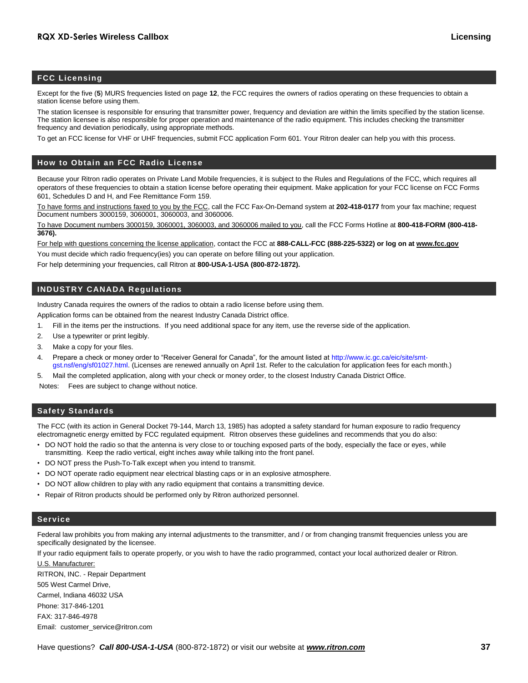### **FCC Licensing**

Except for the five (**5**) MURS frequencies listed on page **12**, the FCC requires the owners of radios operating on these frequencies to obtain a station license before using them.

The station licensee is responsible for ensuring that transmitter power, frequency and deviation are within the limits specified by the station license. The station licensee is also responsible for proper operation and maintenance of the radio equipment. This includes checking the transmitter frequency and deviation periodically, using appropriate methods.

To get an FCC license for VHF or UHF frequencies, submit FCC application Form 601. Your Ritron dealer can help you with this process.

#### **How to Obtain an FCC Radio License**

Because your Ritron radio operates on Private Land Mobile frequencies, it is subject to the Rules and Regulations of the FCC, which requires all operators of these frequencies to obtain a station license before operating their equipment. Make application for your FCC license on FCC Forms 601, Schedules D and H, and Fee Remittance Form 159.

To have forms and instructions faxed to you by the FCC, call the FCC Fax-On-Demand system at **202-418-0177** from your fax machine; request Document numbers 3000159, 3060001, 3060003, and 3060006.

To have Document numbers 3000159, 3060001, 3060003, and 3060006 mailed to you, call the FCC Forms Hotline at **800-418-FORM (800-418- 3676).**

For help with questions concerning the license application, contact the FCC at **888-CALL-FCC (888-225-5322) or log on at www.fcc.gov**

You must decide which radio frequency(ies) you can operate on before filling out your application.

For help determining your frequencies, call Ritron at **800-USA-1-USA (800-872-1872).**

### **INDUSTRY CANADA Regulations**

Industry Canada requires the owners of the radios to obtain a radio license before using them.

Application forms can be obtained from the nearest Industry Canada District office.

- 1. Fill in the items per the instructions. If you need additional space for any item, use the reverse side of the application.
- 2. Use a typewriter or print legibly.
- 3. Make a copy for your files.
- 4. Prepare a check or money order to "Receiver General for Canada", for the amount listed at http://www.ic.gc.ca/eic/site/smtgst.nsf/eng/sf01027.html. (Licenses are renewed annually on April 1st. Refer to the calculation for application fees for each month.)
- 5. Mail the completed application, along with your check or money order, to the closest Industry Canada District Office.

Notes: Fees are subject to change without notice.

### **Safety Standards**

The FCC (with its action in General Docket 79-144, March 13, 1985) has adopted a safety standard for human exposure to radio frequency electromagnetic energy emitted by FCC regulated equipment. Ritron observes these guidelines and recommends that you do also:

- DO NOT hold the radio so that the antenna is very close to or touching exposed parts of the body, especially the face or eyes, while transmitting. Keep the radio vertical, eight inches away while talking into the front panel.
- DO NOT press the Push-To-Talk except when you intend to transmit.
- DO NOT operate radio equipment near electrical blasting caps or in an explosive atmosphere.
- DO NOT allow children to play with any radio equipment that contains a transmitting device.
- Repair of Ritron products should be performed only by Ritron authorized personnel.

### **Service**

Federal law prohibits you from making any internal adjustments to the transmitter, and / or from changing transmit frequencies unless you are specifically designated by the licensee.

If your radio equipment fails to operate properly, or you wish to have the radio programmed, contact your local authorized dealer or Ritron. U.S. Manufacturer:

RITRON, INC. - Repair Department 505 West Carmel Drive, Carmel, Indiana 46032 USA Phone: 317-846-1201 FAX: 317-846-4978 Email: customer\_service@ritron.com